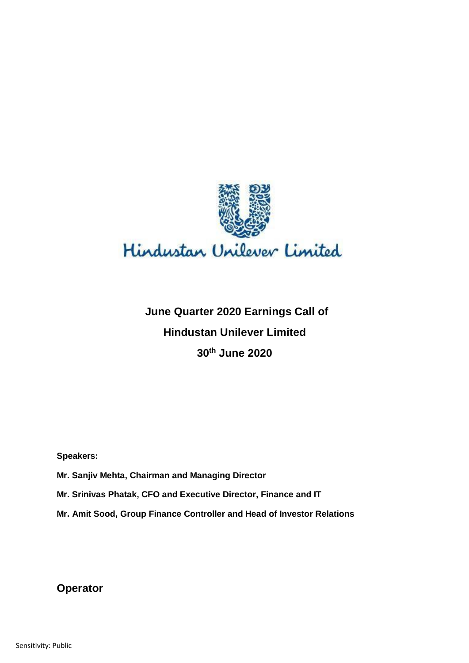

# **June Quarter 2020 Earnings Call of Hindustan Unilever Limited 30th June 2020**

**Speakers:** 

- Speakers:<br>Mr. Sanjiv Mehta, Chairman and Managing Director
- **Mr. Srinivas Phatak, CFO and Executive Director, Finance and IT**
- **Mr. Amit Sood, Group Finance Controller and Head of Investor Relations**

**Operator**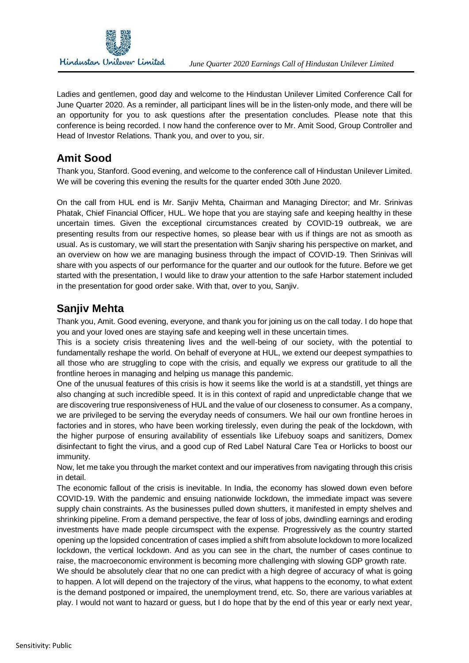

 Ladies and gentlemen, good day and welcome to the Hindustan Unilever Limited Conference Call for June Quarter 2020. As a reminder, all participant lines will be in the listen-only mode, and there will be an opportunity for you to ask questions after the presentation concludes. Please note that this conference is being recorded. I now hand the conference over to Mr. Amit Sood, Group Controller and Head of Investor Relations. Thank you, and over to you, sir.

## **Amit Sood**

 Thank you, Stanford. Good evening, and welcome to the conference call of Hindustan Unilever Limited. We will be covering this evening the results for the quarter ended 30th June 2020.

 On the call from HUL end is Mr. Sanjiv Mehta, Chairman and Managing Director; and Mr. Srinivas Phatak, Chief Financial Officer, HUL. We hope that you are staying safe and keeping healthy in these uncertain times. Given the exceptional circumstances created by COVID-19 outbreak, we are presenting results from our respective homes, so please bear with us if things are not as smooth as usual. As is customary, we will start the presentation with Sanjiv sharing his perspective on market, and an overview on how we are managing business through the impact of COVID-19. Then Srinivas will share with you aspects of our performance for the quarter and our outlook for the future. Before we get started with the presentation, I would like to draw your attention to the safe Harbor statement included in the presentation for good order sake. With that, over to you, Sanjiv.

## **Sanjiv Mehta**

 Thank you, Amit. Good evening, everyone, and thank you for joining us on the call today. I do hope that you and your loved ones are staying safe and keeping well in these uncertain times.

 This is a society crisis threatening lives and the well-being of our society, with the potential to fundamentally reshape the world. On behalf of everyone at HUL, we extend our deepest sympathies to all those who are struggling to cope with the crisis, and equally we express our gratitude to all the frontline heroes in managing and helping us manage this pandemic.

 One of the unusual features of this crisis is how it seems like the world is at a standstill, yet things are also changing at such incredible speed. It is in this context of rapid and unpredictable change that we are discovering true responsiveness of HUL and the value of our closeness to consumer. As a company, we are privileged to be serving the everyday needs of consumers. We hail our own frontline heroes in factories and in stores, who have been working tirelessly, even during the peak of the lockdown, with the higher purpose of ensuring availability of essentials like Lifebuoy soaps and sanitizers, Domex disinfectant to fight the virus, and a good cup of Red Label Natural Care Tea or Horlicks to boost our immunity.

 Now, let me take you through the market context and our imperatives from navigating through this crisis in detail.

 The economic fallout of the crisis is inevitable. In India, the economy has slowed down even before COVID-19. With the pandemic and ensuing nationwide lockdown, the immediate impact was severe supply chain constraints. As the businesses pulled down shutters, it manifested in empty shelves and shrinking pipeline. From a demand perspective, the fear of loss of jobs, dwindling earnings and eroding investments have made people circumspect with the expense. Progressively as the country started opening up the lopsided concentration of cases implied a shift from absolute lockdown to more localized lockdown, the vertical lockdown. And as you can see in the chart, the number of cases continue to raise, the macroeconomic environment is becoming more challenging with slowing GDP growth rate.

 We should be absolutely clear that no one can predict with a high degree of accuracy of what is going to happen. A lot will depend on the trajectory of the virus, what happens to the economy, to what extent is the demand postponed or impaired, the unemployment trend, etc. So, there are various variables at play. I would not want to hazard or guess, but I do hope that by the end of this year or early next year,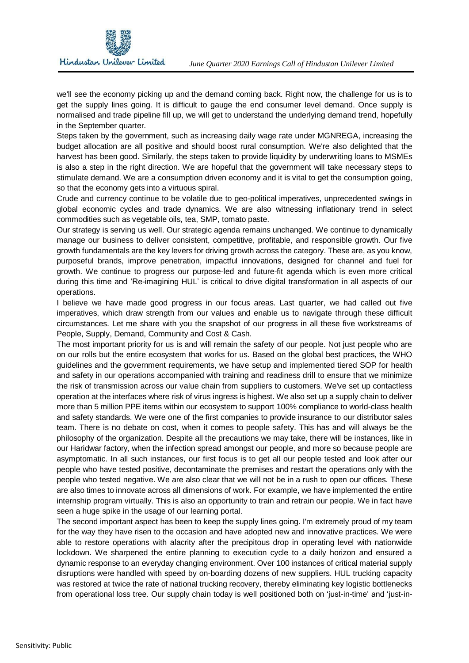

 we'll see the economy picking up and the demand coming back. Right now, the challenge for us is to get the supply lines going. It is difficult to gauge the end consumer level demand. Once supply is normalised and trade pipeline fill up, we will get to understand the underlying demand trend, hopefully in the September quarter.

 Steps taken by the government, such as increasing daily wage rate under MGNREGA, increasing the budget allocation are all positive and should boost rural consumption. We're also delighted that the harvest has been good. Similarly, the steps taken to provide liquidity by underwriting loans to MSMEs is also a step in the right direction. We are hopeful that the government will take necessary steps to stimulate demand. We are a consumption driven economy and it is vital to get the consumption going, so that the economy gets into a virtuous spiral.

 Crude and currency continue to be volatile due to geo-political imperatives, unprecedented swings in global economic cycles and trade dynamics. We are also witnessing inflationary trend in select commodities such as vegetable oils, tea, SMP, tomato paste.

 Our strategy is serving us well. Our strategic agenda remains unchanged. We continue to dynamically manage our business to deliver consistent, competitive, profitable, and responsible growth. Our five growth fundamentals are the key levers for driving growth across the category. These are, as you know, purposeful brands, improve penetration, impactful innovations, designed for channel and fuel for growth. We continue to progress our purpose-led and future-fit agenda which is even more critical during this time and 'Re-imagining HUL' is critical to drive digital transformation in all aspects of our operations.

 I believe we have made good progress in our focus areas. Last quarter, we had called out five imperatives, which draw strength from our values and enable us to navigate through these difficult circumstances. Let me share with you the snapshot of our progress in all these five workstreams of People, Supply, Demand, Community and Cost & Cash.

 The most important priority for us is and will remain the safety of our people. Not just people who are on our rolls but the entire ecosystem that works for us. Based on the global best practices, the WHO guidelines and the government requirements, we have setup and implemented tiered SOP for health and safety in our operations accompanied with training and readiness drill to ensure that we minimize the risk of transmission across our value chain from suppliers to customers. We've set up contactless operation at the interfaces where risk of virus ingress is highest. We also set up a supply chain to deliver more than 5 million PPE items within our ecosystem to support 100% compliance to world-class health and safety standards. We were one of the first companies to provide insurance to our distributor sales team. There is no debate on cost, when it comes to people safety. This has and will always be the philosophy of the organization. Despite all the precautions we may take, there will be instances, like in our Haridwar factory, when the infection spread amongst our people, and more so because people are asymptomatic. In all such instances, our first focus is to get all our people tested and look after our people who have tested positive, decontaminate the premises and restart the operations only with the people who tested negative. We are also clear that we will not be in a rush to open our offices. These are also times to innovate across all dimensions of work. For example, we have implemented the entire internship program virtually. This is also an opportunity to train and retrain our people. We in fact have seen a huge spike in the usage of our learning portal.

 The second important aspect has been to keep the supply lines going. I'm extremely proud of my team for the way they have risen to the occasion and have adopted new and innovative practices. We were able to restore operations with alacrity after the precipitous drop in operating level with nationwide lockdown. We sharpened the entire planning to execution cycle to a daily horizon and ensured a dynamic response to an everyday changing environment. Over 100 instances of critical material supply disruptions were handled with speed by on-boarding dozens of new suppliers. HUL trucking capacity was restored at twice the rate of national trucking recovery, thereby eliminating key logistic bottlenecks from operational loss tree. Our supply chain today is well positioned both on 'just-in-time' and 'just-in-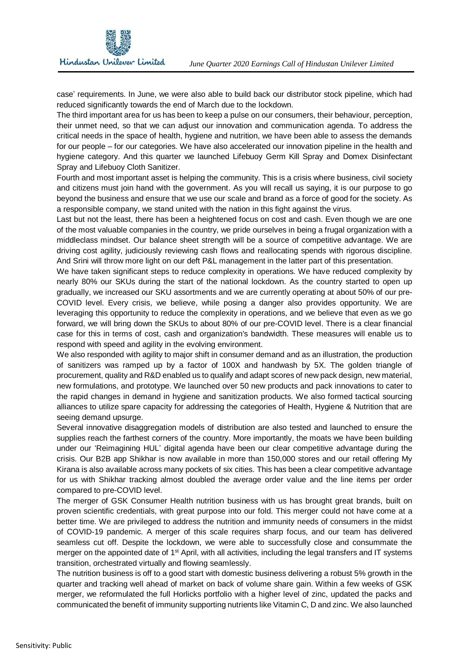

 case' requirements. In June, we were also able to build back our distributor stock pipeline, which had reduced significantly towards the end of March due to the lockdown.

 The third important area for us has been to keep a pulse on our consumers, their behaviour, perception, their unmet need, so that we can adjust our innovation and communication agenda. To address the critical needs in the space of health, hygiene and nutrition, we have been able to assess the demands for our people – for our categories. We have also accelerated our innovation pipeline in the health and hygiene category. And this quarter we launched Lifebuoy Germ Kill Spray and Domex Disinfectant Spray and Lifebuoy Cloth Sanitizer.

 Fourth and most important asset is helping the community. This is a crisis where business, civil society and citizens must join hand with the government. As you will recall us saying, it is our purpose to go beyond the business and ensure that we use our scale and brand as a force of good for the society. As a responsible company, we stand united with the nation in this fight against the virus.

 Last but not the least, there has been a heightened focus on cost and cash. Even though we are one of the most valuable companies in the country, we pride ourselves in being a frugal organization with a middleclass mindset. Our balance sheet strength will be a source of competitive advantage. We are driving cost agility, judiciously reviewing cash flows and reallocating spends with rigorous discipline. And Srini will throw more light on our deft P&L management in the latter part of this presentation.

 We have taken significant steps to reduce complexity in operations. We have reduced complexity by nearly 80% our SKUs during the start of the national lockdown. As the country started to open up gradually, we increased our SKU assortments and we are currently operating at about 50% of our pre- COVID level. Every crisis, we believe, while posing a danger also provides opportunity. We are leveraging this opportunity to reduce the complexity in operations, and we believe that even as we go forward, we will bring down the SKUs to about 80% of our pre-COVID level. There is a clear financial case for this in terms of cost, cash and organization's bandwidth. These measures will enable us to respond with speed and agility in the evolving environment.

 We also responded with agility to major shift in consumer demand and as an illustration, the production of sanitizers was ramped up by a factor of 100X and handwash by 5X. The golden triangle of procurement, quality and R&D enabled us to qualify and adapt scores of new pack design, new material, new formulations, and prototype. We launched over 50 new products and pack innovations to cater to the rapid changes in demand in hygiene and sanitization products. We also formed tactical sourcing alliances to utilize spare capacity for addressing the categories of Health, Hygiene & Nutrition that are seeing demand upsurge.

 Several innovative disaggregation models of distribution are also tested and launched to ensure the supplies reach the farthest corners of the country. More importantly, the moats we have been building under our 'Reimagining HUL' digital agenda have been our clear competitive advantage during the crisis. Our B2B app Shikhar is now available in more than 150,000 stores and our retail offering My Kirana is also available across many pockets of six cities. This has been a clear competitive advantage for us with Shikhar tracking almost doubled the average order value and the line items per order compared to pre-COVID level.

 The merger of GSK Consumer Health nutrition business with us has brought great brands, built on proven scientific credentials, with great purpose into our fold. This merger could not have come at a better time. We are privileged to address the nutrition and immunity needs of consumers in the midst of COVID-19 pandemic. A merger of this scale requires sharp focus, and our team has delivered seamless cut off. Despite the lockdown, we were able to successfully close and consummate the merger on the appointed date of 1<sup>st</sup> April, with all activities, including the legal transfers and IT systems transition, orchestrated virtually and flowing seamlessly.

 The nutrition business is off to a good start with domestic business delivering a robust 5% growth in the quarter and tracking well ahead of market on back of volume share gain. Within a few weeks of GSK merger, we reformulated the full Horlicks portfolio with a higher level of zinc, updated the packs and communicated the benefit of immunity supporting nutrients like Vitamin C, D and zinc. We also launched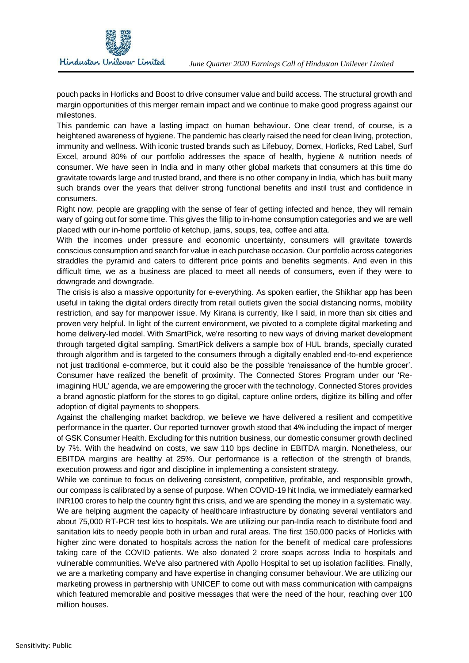

 pouch packs in Horlicks and Boost to drive consumer value and build access. The structural growth and margin opportunities of this merger remain impact and we continue to make good progress against our milestones.

 This pandemic can have a lasting impact on human behaviour. One clear trend, of course, is a heightened awareness of hygiene. The pandemic has clearly raised the need for clean living, protection, immunity and wellness. With iconic trusted brands such as Lifebuoy, Domex, Horlicks, Red Label, Surf Excel, around 80% of our portfolio addresses the space of health, hygiene & nutrition needs of consumer. We have seen in India and in many other global markets that consumers at this time do gravitate towards large and trusted brand, and there is no other company in India, which has built many such brands over the years that deliver strong functional benefits and instil trust and confidence in consumers.

 Right now, people are grappling with the sense of fear of getting infected and hence, they will remain wary of going out for some time. This gives the fillip to in-home consumption categories and we are well placed with our in-home portfolio of ketchup, jams, soups, tea, coffee and atta.

 With the incomes under pressure and economic uncertainty, consumers will gravitate towards conscious consumption and search for value in each purchase occasion. Our portfolio across categories straddles the pyramid and caters to different price points and benefits segments. And even in this difficult time, we as a business are placed to meet all needs of consumers, even if they were to downgrade and downgrade.

 The crisis is also a massive opportunity for e-everything. As spoken earlier, the Shikhar app has been useful in taking the digital orders directly from retail outlets given the social distancing norms, mobility restriction, and say for manpower issue. My Kirana is currently, like I said, in more than six cities and proven very helpful. In light of the current environment, we pivoted to a complete digital marketing and home delivery-led model. With SmartPick, we're resorting to new ways of driving market development through targeted digital sampling. SmartPick delivers a sample box of HUL brands, specially curated through algorithm and is targeted to the consumers through a digitally enabled end-to-end experience not just traditional e-commerce, but it could also be the possible 'renaissance of the humble grocer'. Consumer have realized the benefit of proximity. The Connected Stores Program under our 'Re- imagining HUL' agenda, we are empowering the grocer with the technology. Connected Stores provides a brand agnostic platform for the stores to go digital, capture online orders, digitize its billing and offer adoption of digital payments to shoppers.

 Against the challenging market backdrop, we believe we have delivered a resilient and competitive performance in the quarter. Our reported turnover growth stood that 4% including the impact of merger of GSK Consumer Health. Excluding for this nutrition business, our domestic consumer growth declined by 7%. With the headwind on costs, we saw 110 bps decline in EBITDA margin. Nonetheless, our EBITDA margins are healthy at 25%. Our performance is a reflection of the strength of brands, execution prowess and rigor and discipline in implementing a consistent strategy.

 While we continue to focus on delivering consistent, competitive, profitable, and responsible growth, our compass is calibrated by a sense of purpose. When COVID-19 hit India, we immediately earmarked INR100 crores to help the country fight this crisis, and we are spending the money in a systematic way. We are helping augment the capacity of healthcare infrastructure by donating several ventilators and about 75,000 RT-PCR test kits to hospitals. We are utilizing our pan-India reach to distribute food and sanitation kits to needy people both in urban and rural areas. The first 150,000 packs of Horlicks with higher zinc were donated to hospitals across the nation for the benefit of medical care professions taking care of the COVID patients. We also donated 2 crore soaps across India to hospitals and vulnerable communities. We've also partnered with Apollo Hospital to set up isolation facilities. Finally, we are a marketing company and have expertise in changing consumer behaviour. We are utilizing our marketing prowess in partnership with UNICEF to come out with mass communication with campaigns which featured memorable and positive messages that were the need of the hour, reaching over 100 million houses.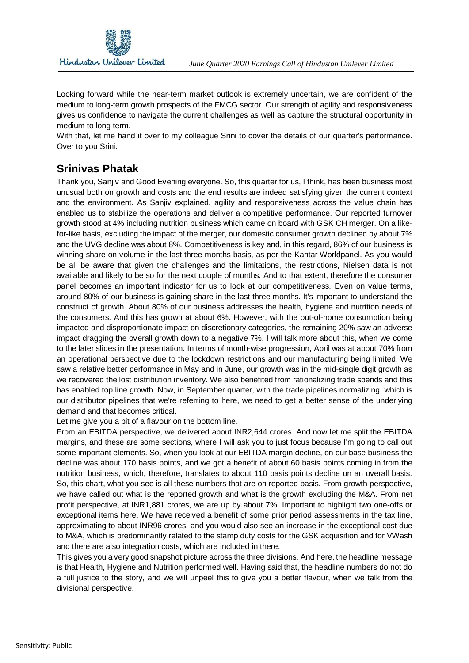

 Looking forward while the near-term market outlook is extremely uncertain, we are confident of the medium to long-term growth prospects of the FMCG sector. Our strength of agility and responsiveness gives us confidence to navigate the current challenges as well as capture the structural opportunity in medium to long term.

 With that, let me hand it over to my colleague Srini to cover the details of our quarter's performance. Over to you Srini.

## **Srinivas Phatak**

 Thank you, Sanjiv and Good Evening everyone. So, this quarter for us, I think, has been business most unusual both on growth and costs and the end results are indeed satisfying given the current context and the environment. As Sanjiv explained, agility and responsiveness across the value chain has enabled us to stabilize the operations and deliver a competitive performance. Our reported turnover growth stood at 4% including nutrition business which came on board with GSK CH merger. On a like- for-like basis, excluding the impact of the merger, our domestic consumer growth declined by about 7% and the UVG decline was about 8%. Competitiveness is key and, in this regard, 86% of our business is winning share on volume in the last three months basis, as per the Kantar Worldpanel. As you would be all be aware that given the challenges and the limitations, the restrictions, Nielsen data is not available and likely to be so for the next couple of months. And to that extent, therefore the consumer panel becomes an important indicator for us to look at our competitiveness. Even on value terms, around 80% of our business is gaining share in the last three months. It's important to understand the construct of growth. About 80% of our business addresses the health, hygiene and nutrition needs of the consumers. And this has grown at about 6%. However, with the out-of-home consumption being impacted and disproportionate impact on discretionary categories, the remaining 20% saw an adverse impact dragging the overall growth down to a negative 7%. I will talk more about this, when we come to the later slides in the presentation. In terms of month-wise progression, April was at about 70% from an operational perspective due to the lockdown restrictions and our manufacturing being limited. We saw a relative better performance in May and in June, our growth was in the mid-single digit growth as we recovered the lost distribution inventory. We also benefited from rationalizing trade spends and this has enabled top line growth. Now, in September quarter, with the trade pipelines normalizing, which is our distributor pipelines that we're referring to here, we need to get a better sense of the underlying demand and that becomes critical.

Let me give you a bit of a flavour on the bottom line.

 From an EBITDA perspective, we delivered about INR2,644 crores. And now let me split the EBITDA margins, and these are some sections, where I will ask you to just focus because I'm going to call out some important elements. So, when you look at our EBITDA margin decline, on our base business the decline was about 170 basis points, and we got a benefit of about 60 basis points coming in from the nutrition business, which, therefore, translates to about 110 basis points decline on an overall basis. So, this chart, what you see is all these numbers that are on reported basis. From growth perspective, we have called out what is the reported growth and what is the growth excluding the M&A. From net profit perspective, at INR1,881 crores, we are up by about 7%. Important to highlight two one-offs or exceptional items here. We have received a benefit of some prior period assessments in the tax line, approximating to about INR96 crores, and you would also see an increase in the exceptional cost due to M&A, which is predominantly related to the stamp duty costs for the GSK acquisition and for VWash and there are also integration costs, which are included in there.

 This gives you a very good snapshot picture across the three divisions. And here, the headline message is that Health, Hygiene and Nutrition performed well. Having said that, the headline numbers do not do a full justice to the story, and we will unpeel this to give you a better flavour, when we talk from the divisional perspective.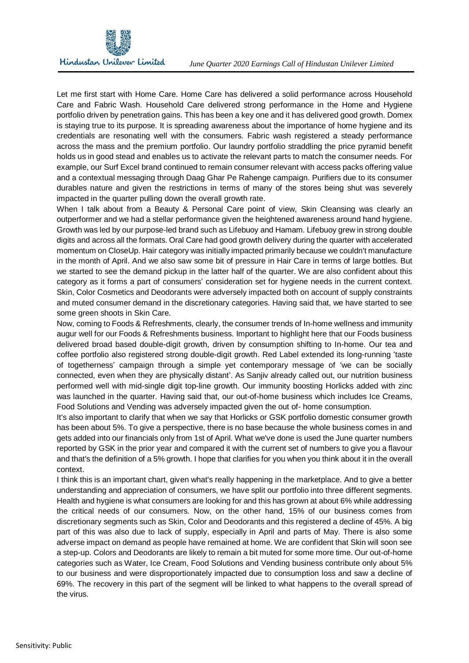

 Let me first start with Home Care. Home Care has delivered a solid performance across Household Care and Fabric Wash. Household Care delivered strong performance in the Home and Hygiene portfolio driven by penetration gains. This has been a key one and it has delivered good growth. Domex is staying true to its purpose. It is spreading awareness about the importance of home hygiene and its credentials are resonating well with the consumers. Fabric wash registered a steady performance across the mass and the premium portfolio. Our laundry portfolio straddling the price pyramid benefit holds us in good stead and enables us to activate the relevant parts to match the consumer needs. For example, our Surf Excel brand continued to remain consumer relevant with access packs offering value and a contextual messaging through Daag Ghar Pe Rahenge campaign. Purifiers due to its consumer durables nature and given the restrictions in terms of many of the stores being shut was severely impacted in the quarter pulling down the overall growth rate.

 When I talk about from a Beauty & Personal Care point of view, Skin Cleansing was clearly an outperformer and we had a stellar performance given the heightened awareness around hand hygiene. Growth was led by our purpose-led brand such as Lifebuoy and Hamam. Lifebuoy grew in strong double digits and across all the formats. Oral Care had good growth delivery during the quarter with accelerated momentum on CloseUp. Hair category was initially impacted primarily because we couldn't manufacture in the month of April. And we also saw some bit of pressure in Hair Care in terms of large bottles. But we started to see the demand pickup in the latter half of the quarter. We are also confident about this category as it forms a part of consumers' consideration set for hygiene needs in the current context. Skin, Color Cosmetics and Deodorants were adversely impacted both on account of supply constraints and muted consumer demand in the discretionary categories. Having said that, we have started to see some green shoots in Skin Care.

 Now, coming to Foods & Refreshments, clearly, the consumer trends of In-home wellness and immunity augur well for our Foods & Refreshments business. Important to highlight here that our Foods business delivered broad based double-digit growth, driven by consumption shifting to In-home. Our tea and coffee portfolio also registered strong double-digit growth. Red Label extended its long-running 'taste of togetherness' campaign through a simple yet contemporary message of 'we can be socially connected, even when they are physically distant'. As Sanjiv already called out, our nutrition business performed well with mid-single digit top-line growth. Our immunity boosting Horlicks added with zinc was launched in the quarter. Having said that, our out-of-home business which includes Ice Creams, Food Solutions and Vending was adversely impacted given the out of- home consumption.

 It's also important to clarify that when we say that Horlicks or GSK portfolio domestic consumer growth has been about 5%. To give a perspective, there is no base because the whole business comes in and gets added into our financials only from 1st of April. What we've done is used the June quarter numbers reported by GSK in the prior year and compared it with the current set of numbers to give you a flavour and that's the definition of a 5% growth. I hope that clarifies for you when you think about it in the overall context.

 I think this is an important chart, given what's really happening in the marketplace. And to give a better understanding and appreciation of consumers, we have split our portfolio into three different segments. Health and hygiene is what consumers are looking for and this has grown at about 6% while addressing the critical needs of our consumers. Now, on the other hand, 15% of our business comes from discretionary segments such as Skin, Color and Deodorants and this registered a decline of 45%. A big part of this was also due to lack of supply, especially in April and parts of May. There is also some adverse impact on demand as people have remained at home. We are confident that Skin will soon see a step-up. Colors and Deodorants are likely to remain a bit muted for some more time. Our out-of-home categories such as Water, Ice Cream, Food Solutions and Vending business contribute only about 5% to our business and were disproportionately impacted due to consumption loss and saw a decline of 69%. The recovery in this part of the segment will be linked to what happens to the overall spread of the virus.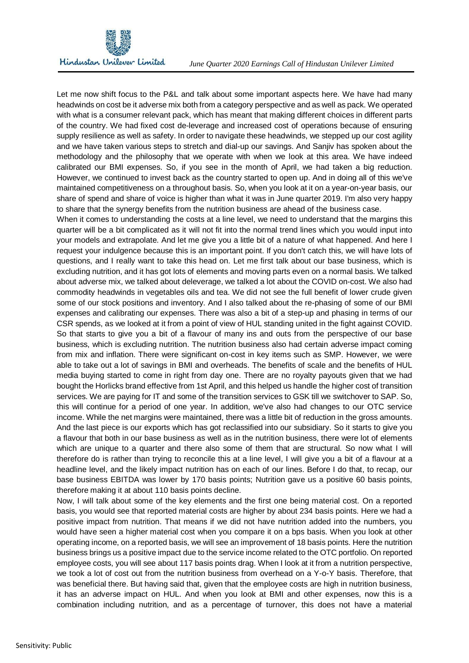

 Let me now shift focus to the P&L and talk about some important aspects here. We have had many headwinds on cost be it adverse mix both from a category perspective and as well as pack. We operated with what is a consumer relevant pack, which has meant that making different choices in different parts of the country. We had fixed cost de-leverage and increased cost of operations because of ensuring supply resilience as well as safety. In order to navigate these headwinds, we stepped up our cost agility and we have taken various steps to stretch and dial-up our savings. And Sanjiv has spoken about the methodology and the philosophy that we operate with when we look at this area. We have indeed calibrated our BMI expenses. So, if you see in the month of April, we had taken a big reduction. However, we continued to invest back as the country started to open up. And in doing all of this we've maintained competitiveness on a throughout basis. So, when you look at it on a year-on-year basis, our share of spend and share of voice is higher than what it was in June quarter 2019. I'm also very happy to share that the synergy benefits from the nutrition business are ahead of the business case.

 When it comes to understanding the costs at a line level, we need to understand that the margins this quarter will be a bit complicated as it will not fit into the normal trend lines which you would input into your models and extrapolate. And let me give you a little bit of a nature of what happened. And here I request your indulgence because this is an important point. If you don't catch this, we will have lots of questions, and I really want to take this head on. Let me first talk about our base business, which is excluding nutrition, and it has got lots of elements and moving parts even on a normal basis. We talked about adverse mix, we talked about deleverage, we talked a lot about the COVID on-cost. We also had commodity headwinds in vegetables oils and tea. We did not see the full benefit of lower crude given some of our stock positions and inventory. And I also talked about the re-phasing of some of our BMI expenses and calibrating our expenses. There was also a bit of a step-up and phasing in terms of our CSR spends, as we looked at it from a point of view of HUL standing united in the fight against COVID. So that starts to give you a bit of a flavour of many ins and outs from the perspective of our base business, which is excluding nutrition. The nutrition business also had certain adverse impact coming from mix and inflation. There were significant on-cost in key items such as SMP. However, we were able to take out a lot of savings in BMI and overheads. The benefits of scale and the benefits of HUL media buying started to come in right from day one. There are no royalty payouts given that we had bought the Horlicks brand effective from 1st April, and this helped us handle the higher cost of transition services. We are paying for IT and some of the transition services to GSK till we switchover to SAP. So, this will continue for a period of one year. In addition, we've also had changes to our OTC service income. While the net margins were maintained, there was a little bit of reduction in the gross amounts. And the last piece is our exports which has got reclassified into our subsidiary. So it starts to give you a flavour that both in our base business as well as in the nutrition business, there were lot of elements which are unique to a quarter and there also some of them that are structural. So now what I will therefore do is rather than trying to reconcile this at a line level, I will give you a bit of a flavour at a headline level, and the likely impact nutrition has on each of our lines. Before I do that, to recap, our base business EBITDA was lower by 170 basis points; Nutrition gave us a positive 60 basis points, therefore making it at about 110 basis points decline.

 Now, I will talk about some of the key elements and the first one being material cost. On a reported basis, you would see that reported material costs are higher by about 234 basis points. Here we had a positive impact from nutrition. That means if we did not have nutrition added into the numbers, you would have seen a higher material cost when you compare it on a bps basis. When you look at other operating income, on a reported basis, we will see an improvement of 18 basis points. Here the nutrition business brings us a positive impact due to the service income related to the OTC portfolio. On reported employee costs, you will see about 117 basis points drag. When I look at it from a nutrition perspective, we took a lot of cost out from the nutrition business from overhead on a Y-o-Y basis. Therefore, that was beneficial there. But having said that, given that the employee costs are high in nutrition business, it has an adverse impact on HUL. And when you look at BMI and other expenses, now this is a combination including nutrition, and as a percentage of turnover, this does not have a material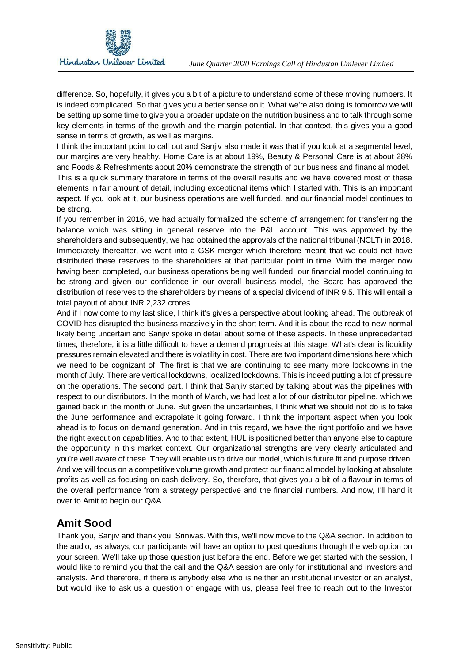

 difference. So, hopefully, it gives you a bit of a picture to understand some of these moving numbers. It is indeed complicated. So that gives you a better sense on it. What we're also doing is tomorrow we will be setting up some time to give you a broader update on the nutrition business and to talk through some key elements in terms of the growth and the margin potential. In that context, this gives you a good sense in terms of growth, as well as margins.

 I think the important point to call out and Sanjiv also made it was that if you look at a segmental level, our margins are very healthy. Home Care is at about 19%, Beauty & Personal Care is at about 28% and Foods & Refreshments about 20% demonstrate the strength of our business and financial model.

 This is a quick summary therefore in terms of the overall results and we have covered most of these elements in fair amount of detail, including exceptional items which I started with. This is an important aspect. If you look at it, our business operations are well funded, and our financial model continues to be strong.

 If you remember in 2016, we had actually formalized the scheme of arrangement for transferring the balance which was sitting in general reserve into the P&L account. This was approved by the shareholders and subsequently, we had obtained the approvals of the national tribunal (NCLT) in 2018. Immediately thereafter, we went into a GSK merger which therefore meant that we could not have distributed these reserves to the shareholders at that particular point in time. With the merger now having been completed, our business operations being well funded, our financial model continuing to be strong and given our confidence in our overall business model, the Board has approved the distribution of reserves to the shareholders by means of a special dividend of INR 9.5. This will entail a total payout of about INR 2,232 crores.

 And if I now come to my last slide, I think it's gives a perspective about looking ahead. The outbreak of COVID has disrupted the business massively in the short term. And it is about the road to new normal likely being uncertain and Sanjiv spoke in detail about some of these aspects. In these unprecedented times, therefore, it is a little difficult to have a demand prognosis at this stage. What's clear is liquidity pressures remain elevated and there is volatility in cost. There are two important dimensions here which we need to be cognizant of. The first is that we are continuing to see many more lockdowns in the month of July. There are vertical lockdowns, localized lockdowns. This is indeed putting a lot of pressure on the operations. The second part, I think that Sanjiv started by talking about was the pipelines with respect to our distributors. In the month of March, we had lost a lot of our distributor pipeline, which we gained back in the month of June. But given the uncertainties, I think what we should not do is to take the June performance and extrapolate it going forward. I think the important aspect when you look ahead is to focus on demand generation. And in this regard, we have the right portfolio and we have the right execution capabilities. And to that extent, HUL is positioned better than anyone else to capture the opportunity in this market context. Our organizational strengths are very clearly articulated and you're well aware of these. They will enable us to drive our model, which is future fit and purpose driven. And we will focus on a competitive volume growth and protect our financial model by looking at absolute profits as well as focusing on cash delivery. So, therefore, that gives you a bit of a flavour in terms of the overall performance from a strategy perspective and the financial numbers. And now, I'll hand it over to Amit to begin our Q&A.

## **Amit Sood**

 Thank you, Sanjiv and thank you, Srinivas. With this, we'll now move to the Q&A section. In addition to the audio, as always, our participants will have an option to post questions through the web option on your screen. We'll take up those question just before the end. Before we get started with the session, I would like to remind you that the call and the Q&A session are only for institutional and investors and analysts. And therefore, if there is anybody else who is neither an institutional investor or an analyst, but would like to ask us a question or engage with us, please feel free to reach out to the Investor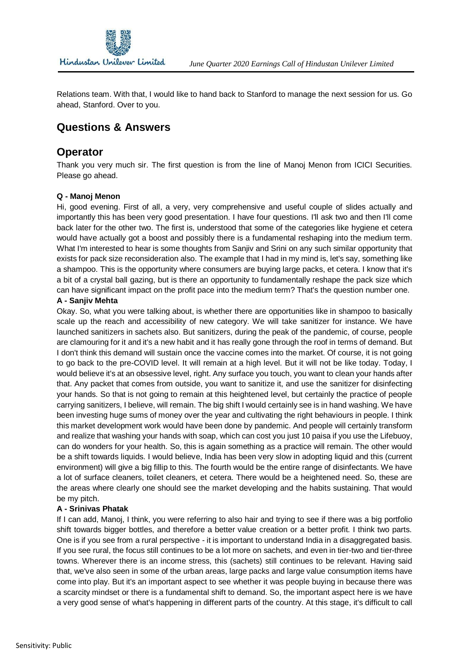

 Relations team. With that, I would like to hand back to Stanford to manage the next session for us. Go ahead, Stanford. Over to you.

## **Questions & Answers**

## **Operator**

 Thank you very much sir. The first question is from the line of Manoj Menon from ICICI Securities. Please go ahead.

#### **Q - Manoj Menon**

 Hi, good evening. First of all, a very, very comprehensive and useful couple of slides actually and importantly this has been very good presentation. I have four questions. I'll ask two and then I'll come back later for the other two. The first is, understood that some of the categories like hygiene et cetera would have actually got a boost and possibly there is a fundamental reshaping into the medium term. What I'm interested to hear is some thoughts from Sanjiv and Srini on any such similar opportunity that exists for pack size reconsideration also. The example that I had in my mind is, let's say, something like a shampoo. This is the opportunity where consumers are buying large packs, et cetera. I know that it's a bit of a crystal ball gazing, but is there an opportunity to fundamentally reshape the pack size which can have significant impact on the profit pace into the medium term? That's the question number one.

#### **A - Sanjiv Mehta**

 Okay. So, what you were talking about, is whether there are opportunities like in shampoo to basically scale up the reach and accessibility of new category. We will take sanitizer for instance. We have launched sanitizers in sachets also. But sanitizers, during the peak of the pandemic, of course, people are clamouring for it and it's a new habit and it has really gone through the roof in terms of demand. But I don't think this demand will sustain once the vaccine comes into the market. Of course, it is not going to go back to the pre-COVID level. It will remain at a high level. But it will not be like today. Today, I would believe it's at an obsessive level, right. Any surface you touch, you want to clean your hands after that. Any packet that comes from outside, you want to sanitize it, and use the sanitizer for disinfecting your hands. So that is not going to remain at this heightened level, but certainly the practice of people carrying sanitizers, I believe, will remain. The big shift I would certainly see is in hand washing. We have been investing huge sums of money over the year and cultivating the right behaviours in people. I think this market development work would have been done by pandemic. And people will certainly transform and realize that washing your hands with soap, which can cost you just 10 paisa if you use the Lifebuoy, can do wonders for your health. So, this is again something as a practice will remain. The other would be a shift towards liquids. I would believe, India has been very slow in adopting liquid and this (current environment) will give a big fillip to this. The fourth would be the entire range of disinfectants. We have a lot of surface cleaners, toilet cleaners, et cetera. There would be a heightened need. So, these are the areas where clearly one should see the market developing and the habits sustaining. That would be my pitch.

#### **A - Srinivas Phatak**

 If I can add, Manoj, I think, you were referring to also hair and trying to see if there was a big portfolio shift towards bigger bottles, and therefore a better value creation or a better profit. I think two parts. One is if you see from a rural perspective - it is important to understand India in a disaggregated basis. If you see rural, the focus still continues to be a lot more on sachets, and even in tier-two and tier-three towns. Wherever there is an income stress, this (sachets) still continues to be relevant. Having said that, we've also seen in some of the urban areas, large packs and large value consumption items have come into play. But it's an important aspect to see whether it was people buying in because there was a scarcity mindset or there is a fundamental shift to demand. So, the important aspect here is we have a very good sense of what's happening in different parts of the country. At this stage, it's difficult to call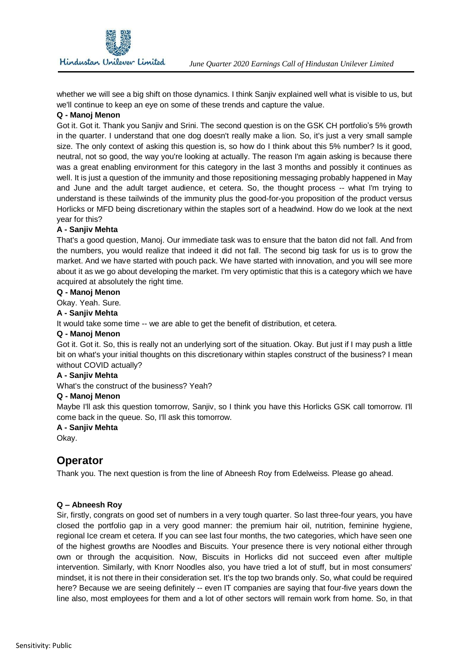whether we will see a big shift on those dynamics. I think Sanjiv explained well what is visible to us, but we'll continue to keep an eye on some of these trends and capture the value.

#### **Q - Manoj Menon**

 Got it. Got it. Thank you Sanjiv and Srini. The second question is on the GSK CH portfolio's 5% growth in the quarter. I understand that one dog doesn't really make a lion. So, it's just a very small sample size. The only context of asking this question is, so how do I think about this 5% number? Is it good, neutral, not so good, the way you're looking at actually. The reason I'm again asking is because there was a great enabling environment for this category in the last 3 months and possibly it continues as well. It is just a question of the immunity and those repositioning messaging probably happened in May and June and the adult target audience, et cetera. So, the thought process -- what I'm trying to understand is these tailwinds of the immunity plus the good-for-you proposition of the product versus Horlicks or MFD being discretionary within the staples sort of a headwind. How do we look at the next year for this?

#### **A - Sanjiv Mehta**

 That's a good question, Manoj. Our immediate task was to ensure that the baton did not fall. And from the numbers, you would realize that indeed it did not fall. The second big task for us is to grow the market. And we have started with pouch pack. We have started with innovation, and you will see more about it as we go about developing the market. I'm very optimistic that this is a category which we have acquired at absolutely the right time.

#### **Q - Manoj Menon**

Okay. Yeah. Sure.

#### **A - Sanjiv Mehta**

It would take some time -- we are able to get the benefit of distribution, et cetera.

#### **Q - Manoj Menon**

 Got it. Got it. So, this is really not an underlying sort of the situation. Okay. But just if I may push a little bit on what's your initial thoughts on this discretionary within staples construct of the business? I mean without COVID actually?

#### **A - Sanjiv Mehta**

What's the construct of the business? Yeah?

#### **Q - Manoj Menon**

 Maybe I'll ask this question tomorrow, Sanjiv, so I think you have this Horlicks GSK call tomorrow. I'll come back in the queue. So, I'll ask this tomorrow.

#### **A - Sanjiv Mehta**

Okay.

## **Operator**

Thank you. The next question is from the line of Abneesh Roy from Edelweiss. Please go ahead.

#### **Q – Abneesh Roy**

 Sir, firstly, congrats on good set of numbers in a very tough quarter. So last three-four years, you have closed the portfolio gap in a very good manner: the premium hair oil, nutrition, feminine hygiene, regional Ice cream et cetera. If you can see last four months, the two categories, which have seen one of the highest growths are Noodles and Biscuits. Your presence there is very notional either through own or through the acquisition. Now, Biscuits in Horlicks did not succeed even after multiple intervention. Similarly, with Knorr Noodles also, you have tried a lot of stuff, but in most consumers' mindset, it is not there in their consideration set. It's the top two brands only. So, what could be required here? Because we are seeing definitely -- even IT companies are saying that four-five years down the line also, most employees for them and a lot of other sectors will remain work from home. So, in that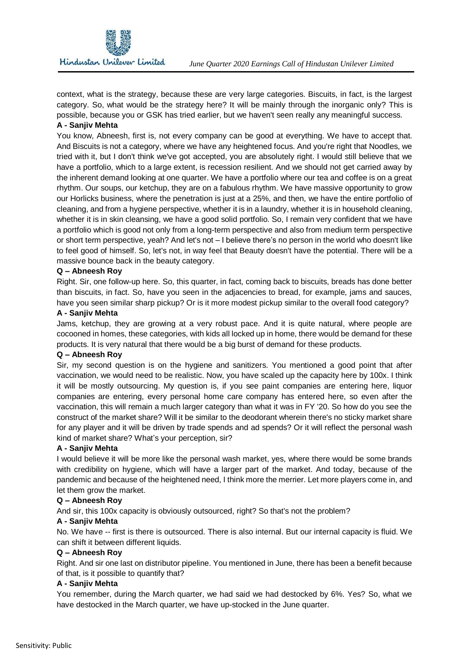context, what is the strategy, because these are very large categories. Biscuits, in fact, is the largest category. So, what would be the strategy here? It will be mainly through the inorganic only? This is possible, because you or GSK has tried earlier, but we haven't seen really any meaningful success.

#### **A - Sanjiv Mehta**

 You know, Abneesh, first is, not every company can be good at everything. We have to accept that. And Biscuits is not a category, where we have any heightened focus. And you're right that Noodles, we tried with it, but I don't think we've got accepted, you are absolutely right. I would still believe that we have a portfolio, which to a large extent, is recession resilient. And we should not get carried away by the inherent demand looking at one quarter. We have a portfolio where our tea and coffee is on a great rhythm. Our soups, our ketchup, they are on a fabulous rhythm. We have massive opportunity to grow our Horlicks business, where the penetration is just at a 25%, and then, we have the entire portfolio of cleaning, and from a hygiene perspective, whether it is in a laundry, whether it is in household cleaning, whether it is in skin cleansing, we have a good solid portfolio. So, I remain very confident that we have a portfolio which is good not only from a long-term perspective and also from medium term perspective or short term perspective, yeah? And let's not – I believe there's no person in the world who doesn't like to feel good of himself. So, let's not, in way feel that Beauty doesn't have the potential. There will be a massive bounce back in the beauty category.

#### **Q – Abneesh Roy**

 Right. Sir, one follow-up here. So, this quarter, in fact, coming back to biscuits, breads has done better than biscuits, in fact. So, have you seen in the adjacencies to bread, for example, jams and sauces, have you seen similar sharp pickup? Or is it more modest pickup similar to the overall food category?

#### **A - Sanjiv Mehta**

 Jams, ketchup, they are growing at a very robust pace. And it is quite natural, where people are cocooned in homes, these categories, with kids all locked up in home, there would be demand for these products. It is very natural that there would be a big burst of demand for these products.

#### **Q – Abneesh Roy**

 Sir, my second question is on the hygiene and sanitizers. You mentioned a good point that after vaccination, we would need to be realistic. Now, you have scaled up the capacity here by 100x. I think it will be mostly outsourcing. My question is, if you see paint companies are entering here, liquor companies are entering, every personal home care company has entered here, so even after the vaccination, this will remain a much larger category than what it was in FY '20. So how do you see the construct of the market share? Will it be similar to the deodorant wherein there's no sticky market share for any player and it will be driven by trade spends and ad spends? Or it will reflect the personal wash kind of market share? What's your perception, sir?

#### **A - Sanjiv Mehta**

 I would believe it will be more like the personal wash market, yes, where there would be some brands with credibility on hygiene, which will have a larger part of the market. And today, because of the pandemic and because of the heightened need, I think more the merrier. Let more players come in, and let them grow the market.

#### **Q – Abneesh Roy**

And sir, this 100x capacity is obviously outsourced, right? So that's not the problem?

#### **A - Sanjiv Mehta**

 No. We have -- first is there is outsourced. There is also internal. But our internal capacity is fluid. We can shift it between different liquids.

#### **Q – Abneesh Roy**

 Right. And sir one last on distributor pipeline. You mentioned in June, there has been a benefit because of that, is it possible to quantify that?

#### **A - Sanjiv Mehta**

 You remember, during the March quarter, we had said we had destocked by 6%. Yes? So, what we have destocked in the March quarter, we have up-stocked in the June quarter.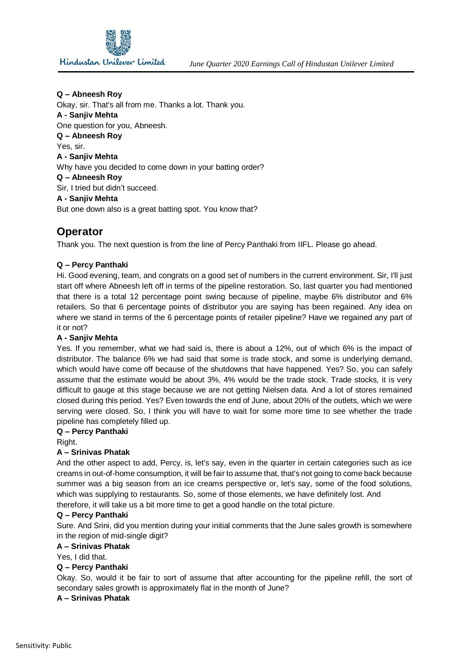

#### **Q – Abneesh Roy**

 Okay, sir. That's all from me. Thanks a lot. Thank you. One question for you, Abneesh. Why have you decided to come down in your batting order? Sir, I tried but didn't succeed. But one down also is a great batting spot. You know that? **A - Sanjiv Mehta Q – Abneesh Roy**  Yes, sir. **A - Sanjiv Mehta Q – Abneesh Roy A - Sanjiv Mehta** 

## **Operator**

Thank you. The next question is from the line of Percy Panthaki from IIFL. Please go ahead.

#### **Q – Percy Panthaki**

 Hi. Good evening, team, and congrats on a good set of numbers in the current environment. Sir, I'll just start off where Abneesh left off in terms of the pipeline restoration. So, last quarter you had mentioned that there is a total 12 percentage point swing because of pipeline, maybe 6% distributor and 6% retailers. So that 6 percentage points of distributor you are saying has been regained. Any idea on where we stand in terms of the 6 percentage points of retailer pipeline? Have we regained any part of it or not?

#### **A - Sanjiv Mehta**

 Yes. If you remember, what we had said is, there is about a 12%, out of which 6% is the impact of distributor. The balance 6% we had said that some is trade stock, and some is underlying demand, which would have come off because of the shutdowns that have happened. Yes? So, you can safely assume that the estimate would be about 3%, 4% would be the trade stock. Trade stocks, it is very difficult to gauge at this stage because we are not getting Nielsen data. And a lot of stores remained closed during this period. Yes? Even towards the end of June, about 20% of the outlets, which we were serving were closed. So, I think you will have to wait for some more time to see whether the trade pipeline has completely filled up.

#### **Q – Percy Panthaki**

Right.

#### **A – Srinivas Phatak**

 And the other aspect to add, Percy, is, let's say, even in the quarter in certain categories such as ice creams in out-of-home consumption, it will be fair to assume that, that's not going to come back because summer was a big season from an ice creams perspective or, let's say, some of the food solutions, which was supplying to restaurants. So, some of those elements, we have definitely lost. And therefore, it will take us a bit more time to get a good handle on the total picture.

#### **Q – Percy Panthaki**

 Sure. And Srini, did you mention during your initial comments that the June sales growth is somewhere in the region of mid-single digit?

#### **A – Srinivas Phatak**

Yes, I did that.

#### **Q – Percy Panthaki**

 Okay. So, would it be fair to sort of assume that after accounting for the pipeline refill, the sort of secondary sales growth is approximately flat in the month of June?

#### **A – Srinivas Phatak**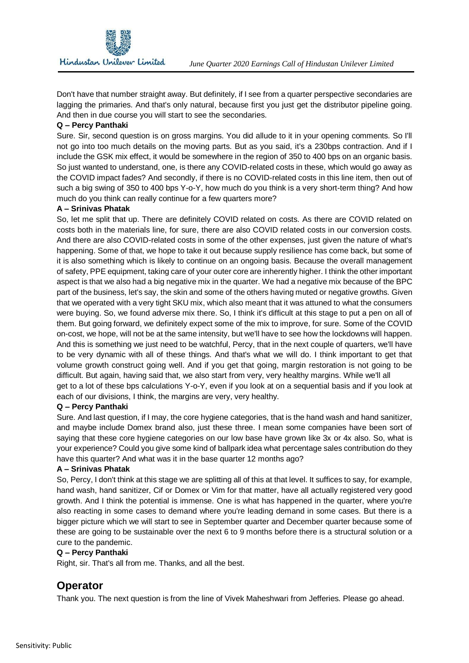Don't have that number straight away. But definitely, if I see from a quarter perspective secondaries are lagging the primaries. And that's only natural, because first you just get the distributor pipeline going. And then in due course you will start to see the secondaries.

#### **Q – Percy Panthaki**

 Sure. Sir, second question is on gross margins. You did allude to it in your opening comments. So I'll not go into too much details on the moving parts. But as you said, it's a 230bps contraction. And if I include the GSK mix effect, it would be somewhere in the region of 350 to 400 bps on an organic basis. So just wanted to understand, one, is there any COVID-related costs in these, which would go away as the COVID impact fades? And secondly, if there is no COVID-related costs in this line item, then out of such a big swing of 350 to 400 bps Y-o-Y, how much do you think is a very short-term thing? And how much do you think can really continue for a few quarters more?

#### **A – Srinivas Phatak**

 So, let me split that up. There are definitely COVID related on costs. As there are COVID related on costs both in the materials line, for sure, there are also COVID related costs in our conversion costs. And there are also COVID-related costs in some of the other expenses, just given the nature of what's happening. Some of that, we hope to take it out because supply resilience has come back, but some of it is also something which is likely to continue on an ongoing basis. Because the overall management of safety, PPE equipment, taking care of your outer core are inherently higher. I think the other important aspect is that we also had a big negative mix in the quarter. We had a negative mix because of the BPC part of the business, let's say, the skin and some of the others having muted or negative growths. Given that we operated with a very tight SKU mix, which also meant that it was attuned to what the consumers were buying. So, we found adverse mix there. So, I think it's difficult at this stage to put a pen on all of them. But going forward, we definitely expect some of the mix to improve, for sure. Some of the COVID on-cost, we hope, will not be at the same intensity, but we'll have to see how the lockdowns will happen. And this is something we just need to be watchful, Percy, that in the next couple of quarters, we'll have to be very dynamic with all of these things. And that's what we will do. I think important to get that volume growth construct going well. And if you get that going, margin restoration is not going to be difficult. But again, having said that, we also start from very, very healthy margins. While we'll all get to a lot of these bps calculations Y-o-Y, even if you look at on a sequential basis and if you look at each of our divisions, I think, the margins are very, very healthy.

#### **Q – Percy Panthaki**

 Sure. And last question, if I may, the core hygiene categories, that is the hand wash and hand sanitizer, and maybe include Domex brand also, just these three. I mean some companies have been sort of saying that these core hygiene categories on our low base have grown like 3x or 4x also. So, what is your experience? Could you give some kind of ballpark idea what percentage sales contribution do they have this quarter? And what was it in the base quarter 12 months ago?

#### **A – Srinivas Phatak**

 So, Percy, I don't think at this stage we are splitting all of this at that level. It suffices to say, for example, hand wash, hand sanitizer, Cif or Domex or Vim for that matter, have all actually registered very good growth. And I think the potential is immense. One is what has happened in the quarter, where you're also reacting in some cases to demand where you're leading demand in some cases. But there is a bigger picture which we will start to see in September quarter and December quarter because some of these are going to be sustainable over the next 6 to 9 months before there is a structural solution or a cure to the pandemic.

#### **Q – Percy Panthaki**

Right, sir. That's all from me. Thanks, and all the best.

## **Operator**

Thank you. The next question is from the line of Vivek Maheshwari from Jefferies. Please go ahead.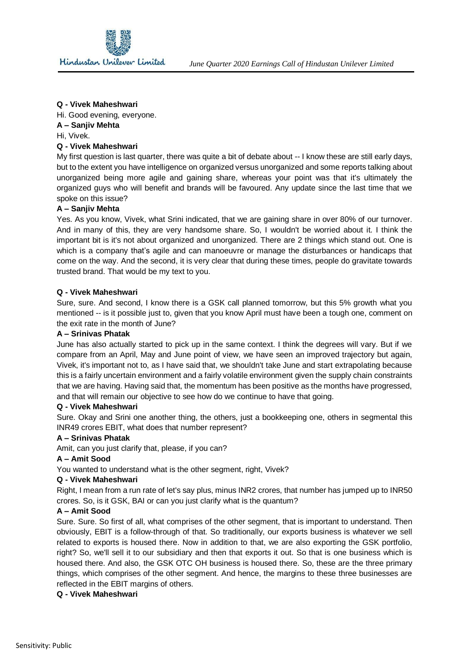

#### **Q - Vivek Maheshwari**

Hi. Good evening, everyone.

#### **A – Sanjiv Mehta**

Hi, Vivek.

#### **Q - Vivek Maheshwari**

 My first question is last quarter, there was quite a bit of debate about -- I know these are still early days, but to the extent you have intelligence on organized versus unorganized and some reports talking about unorganized being more agile and gaining share, whereas your point was that it's ultimately the organized guys who will benefit and brands will be favoured. Any update since the last time that we spoke on this issue?

#### **A – Sanjiv Mehta**

 Yes. As you know, Vivek, what Srini indicated, that we are gaining share in over 80% of our turnover. And in many of this, they are very handsome share. So, I wouldn't be worried about it. I think the important bit is it's not about organized and unorganized. There are 2 things which stand out. One is which is a company that's agile and can manoeuvre or manage the disturbances or handicaps that come on the way. And the second, it is very clear that during these times, people do gravitate towards trusted brand. That would be my text to you.

#### **Q - Vivek Maheshwari**

 Sure, sure. And second, I know there is a GSK call planned tomorrow, but this 5% growth what you mentioned -- is it possible just to, given that you know April must have been a tough one, comment on the exit rate in the month of June?

#### **A – Srinivas Phatak**

 June has also actually started to pick up in the same context. I think the degrees will vary. But if we compare from an April, May and June point of view, we have seen an improved trajectory but again, Vivek, it's important not to, as I have said that, we shouldn't take June and start extrapolating because this is a fairly uncertain environment and a fairly volatile environment given the supply chain constraints that we are having. Having said that, the momentum has been positive as the months have progressed, and that will remain our objective to see how do we continue to have that going.

#### **Q - Vivek Maheshwari**

 Sure. Okay and Srini one another thing, the others, just a bookkeeping one, others in segmental this INR49 crores EBIT, what does that number represent?

#### **A – Srinivas Phatak**

Amit, can you just clarify that, please, if you can?

#### **A – Amit Sood**

You wanted to understand what is the other segment, right, Vivek?

#### **Q - Vivek Maheshwari**

 Right, I mean from a run rate of let's say plus, minus INR2 crores, that number has jumped up to INR50 crores. So, is it GSK, BAI or can you just clarify what is the quantum?

#### **A – Amit Sood**

 Sure. Sure. So first of all, what comprises of the other segment, that is important to understand. Then obviously, EBIT is a follow-through of that. So traditionally, our exports business is whatever we sell related to exports is housed there. Now in addition to that, we are also exporting the GSK portfolio, right? So, we'll sell it to our subsidiary and then that exports it out. So that is one business which is housed there. And also, the GSK OTC OH business is housed there. So, these are the three primary things, which comprises of the other segment. And hence, the margins to these three businesses are reflected in the EBIT margins of others.

#### **Q - Vivek Maheshwari**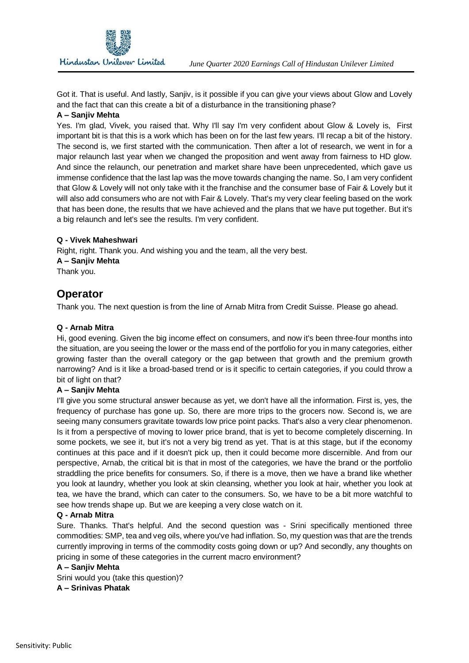

 Got it. That is useful. And lastly, Sanjiv, is it possible if you can give your views about Glow and Lovely and the fact that can this create a bit of a disturbance in the transitioning phase?

#### **A – Sanjiv Mehta**

 Yes. I'm glad, Vivek, you raised that. Why I'll say I'm very confident about Glow & Lovely is, First important bit is that this is a work which has been on for the last few years. I'll recap a bit of the history. The second is, we first started with the communication. Then after a lot of research, we went in for a major relaunch last year when we changed the proposition and went away from fairness to HD glow. And since the relaunch, our penetration and market share have been unprecedented, which gave us immense confidence that the last lap was the move towards changing the name. So, I am very confident that Glow & Lovely will not only take with it the franchise and the consumer base of Fair & Lovely but it will also add consumers who are not with Fair & Lovely. That's my very clear feeling based on the work that has been done, the results that we have achieved and the plans that we have put together. But it's a big relaunch and let's see the results. I'm very confident.

#### **Q - Vivek Maheshwari**

 Right, right. Thank you. And wishing you and the team, all the very best. **A – Sanjiv Mehta**  Thank you.

## **Operator**

Thank you. The next question is from the line of Arnab Mitra from Credit Suisse. Please go ahead.

#### **Q - Arnab Mitra**

 Hi, good evening. Given the big income effect on consumers, and now it's been three-four months into the situation, are you seeing the lower or the mass end of the portfolio for you in many categories, either growing faster than the overall category or the gap between that growth and the premium growth narrowing? And is it like a broad-based trend or is it specific to certain categories, if you could throw a bit of light on that?

#### **A – Sanjiv Mehta**

 I'll give you some structural answer because as yet, we don't have all the information. First is, yes, the frequency of purchase has gone up. So, there are more trips to the grocers now. Second is, we are seeing many consumers gravitate towards low price point packs. That's also a very clear phenomenon. Is it from a perspective of moving to lower price brand, that is yet to become completely discerning. In some pockets, we see it, but it's not a very big trend as yet. That is at this stage, but if the economy continues at this pace and if it doesn't pick up, then it could become more discernible. And from our perspective, Arnab, the critical bit is that in most of the categories, we have the brand or the portfolio straddling the price benefits for consumers. So, if there is a move, then we have a brand like whether you look at laundry, whether you look at skin cleansing, whether you look at hair, whether you look at tea, we have the brand, which can cater to the consumers. So, we have to be a bit more watchful to see how trends shape up. But we are keeping a very close watch on it.

#### **Q - Arnab Mitra**

 Sure. Thanks. That's helpful. And the second question was - Srini specifically mentioned three commodities: SMP, tea and veg oils, where you've had inflation. So, my question was that are the trends currently improving in terms of the commodity costs going down or up? And secondly, any thoughts on pricing in some of these categories in the current macro environment?

#### **A – Sanjiv Mehta**

 Srini would you (take this question)? **A – Srinivas Phatak**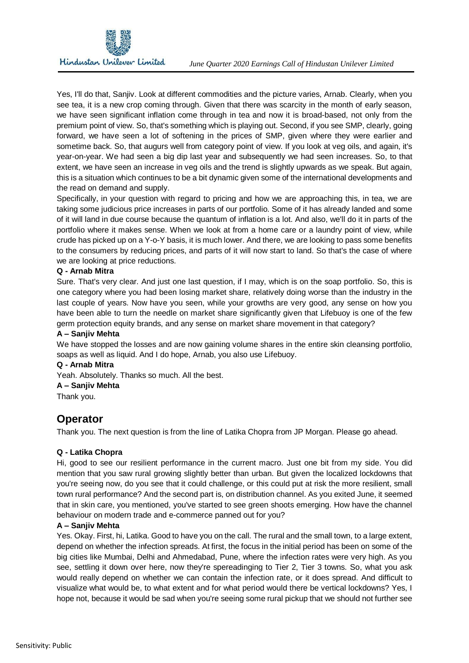

 Yes, I'll do that, Sanjiv. Look at different commodities and the picture varies, Arnab. Clearly, when you see tea, it is a new crop coming through. Given that there was scarcity in the month of early season, we have seen significant inflation come through in tea and now it is broad-based, not only from the premium point of view. So, that's something which is playing out. Second, if you see SMP, clearly, going forward, we have seen a lot of softening in the prices of SMP, given where they were earlier and sometime back. So, that augurs well from category point of view. If you look at veg oils, and again, it's year-on-year. We had seen a big dip last year and subsequently we had seen increases. So, to that extent, we have seen an increase in veg oils and the trend is slightly upwards as we speak. But again, this is a situation which continues to be a bit dynamic given some of the international developments and the read on demand and supply.

 Specifically, in your question with regard to pricing and how we are approaching this, in tea, we are taking some judicious price increases in parts of our portfolio. Some of it has already landed and some of it will land in due course because the quantum of inflation is a lot. And also, we'll do it in parts of the portfolio where it makes sense. When we look at from a home care or a laundry point of view, while crude has picked up on a Y-o-Y basis, it is much lower. And there, we are looking to pass some benefits to the consumers by reducing prices, and parts of it will now start to land. So that's the case of where we are looking at price reductions.

#### **Q - Arnab Mitra**

 Sure. That's very clear. And just one last question, if I may, which is on the soap portfolio. So, this is one category where you had been losing market share, relatively doing worse than the industry in the last couple of years. Now have you seen, while your growths are very good, any sense on how you have been able to turn the needle on market share significantly given that Lifebuoy is one of the few germ protection equity brands, and any sense on market share movement in that category?

#### **A – Sanjiv Mehta**

 We have stopped the losses and are now gaining volume shares in the entire skin cleansing portfolio, soaps as well as liquid. And I do hope, Arnab, you also use Lifebuoy.

#### **Q - Arnab Mitra**

Yeah. Absolutely. Thanks so much. All the best.

#### **A – Sanjiv Mehta**

Thank you.

## **Operator**

Thank you. The next question is from the line of Latika Chopra from JP Morgan. Please go ahead.

#### **Q - Latika Chopra**

 Hi, good to see our resilient performance in the current macro. Just one bit from my side. You did mention that you saw rural growing slightly better than urban. But given the localized lockdowns that you're seeing now, do you see that it could challenge, or this could put at risk the more resilient, small town rural performance? And the second part is, on distribution channel. As you exited June, it seemed that in skin care, you mentioned, you've started to see green shoots emerging. How have the channel behaviour on modern trade and e-commerce panned out for you?

#### **A – Sanjiv Mehta**

 Yes. Okay. First, hi, Latika. Good to have you on the call. The rural and the small town, to a large extent, depend on whether the infection spreads. At first, the focus in the initial period has been on some of the big cities like Mumbai, Delhi and Ahmedabad, Pune, where the infection rates were very high. As you see, settling it down over here, now they're spereadinging to Tier 2, Tier 3 towns. So, what you ask would really depend on whether we can contain the infection rate, or it does spread. And difficult to visualize what would be, to what extent and for what period would there be vertical lockdowns? Yes, I hope not, because it would be sad when you're seeing some rural pickup that we should not further see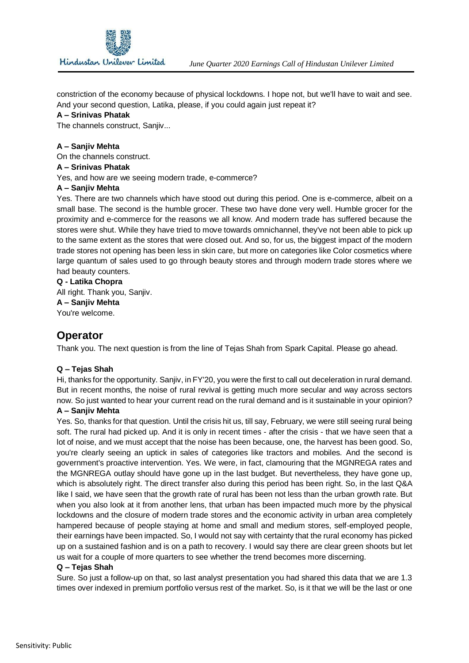

 constriction of the economy because of physical lockdowns. I hope not, but we'll have to wait and see. And your second question, Latika, please, if you could again just repeat it?

#### **A – Srinivas Phatak**

The channels construct, Sanjiv...

#### **A – Sanjiv Mehta**

On the channels construct.

#### **A – Srinivas Phatak**

Yes, and how are we seeing modern trade, e-commerce?

#### **A – Sanjiv Mehta**

 Yes. There are two channels which have stood out during this period. One is e-commerce, albeit on a small base. The second is the humble grocer. These two have done very well. Humble grocer for the proximity and e-commerce for the reasons we all know. And modern trade has suffered because the stores were shut. While they have tried to move towards omnichannel, they've not been able to pick up to the same extent as the stores that were closed out. And so, for us, the biggest impact of the modern trade stores not opening has been less in skin care, but more on categories like Color cosmetics where large quantum of sales used to go through beauty stores and through modern trade stores where we had beauty counters.

 All right. Thank you, Sanjiv. **Q - Latika Chopra A – Sanjiv Mehta**  You're welcome.

## **Operator**

Thank you. The next question is from the line of Tejas Shah from Spark Capital. Please go ahead.

#### **Q – Tejas Shah**

 Hi, thanks for the opportunity. Sanjiv, in FY'20, you were the first to call out deceleration in rural demand. But in recent months, the noise of rural revival is getting much more secular and way across sectors now. So just wanted to hear your current read on the rural demand and is it sustainable in your opinion?

#### **A – Sanjiv Mehta**

 Yes. So, thanks for that question. Until the crisis hit us, till say, February, we were still seeing rural being soft. The rural had picked up. And it is only in recent times - after the crisis - that we have seen that a lot of noise, and we must accept that the noise has been because, one, the harvest has been good. So, you're clearly seeing an uptick in sales of categories like tractors and mobiles. And the second is government's proactive intervention. Yes. We were, in fact, clamouring that the MGNREGA rates and the MGNREGA outlay should have gone up in the last budget. But nevertheless, they have gone up, which is absolutely right. The direct transfer also during this period has been right. So, in the last Q&A like I said, we have seen that the growth rate of rural has been not less than the urban growth rate. But when you also look at it from another lens, that urban has been impacted much more by the physical lockdowns and the closure of modern trade stores and the economic activity in urban area completely hampered because of people staying at home and small and medium stores, self-employed people, their earnings have been impacted. So, I would not say with certainty that the rural economy has picked up on a sustained fashion and is on a path to recovery. I would say there are clear green shoots but let us wait for a couple of more quarters to see whether the trend becomes more discerning.

#### **Q – Tejas Shah**

 Sure. So just a follow-up on that, so last analyst presentation you had shared this data that we are 1.3 times over indexed in premium portfolio versus rest of the market. So, is it that we will be the last or one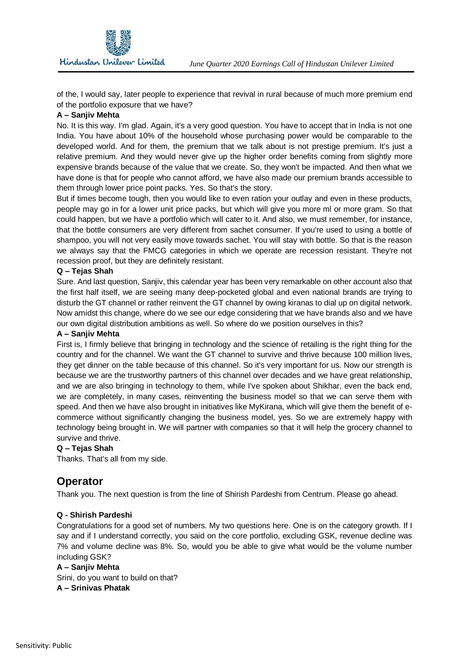of the, I would say, later people to experience that revival in rural because of much more premium end of the portfolio exposure that we have?

#### **A – Sanjiv Mehta**

 No. It is this way. I'm glad. Again, it's a very good question. You have to accept that in India is not one India. You have about 10% of the household whose purchasing power would be comparable to the developed world. And for them, the premium that we talk about is not prestige premium. It's just a relative premium. And they would never give up the higher order benefits coming from slightly more expensive brands because of the value that we create. So, they won't be impacted. And then what we have done is that for people who cannot afford, we have also made our premium brands accessible to them through lower price point packs. Yes. So that's the story.

 But if times become tough, then you would like to even ration your outlay and even in these products, people may go in for a lower unit price packs, but which will give you more ml or more gram. So that could happen, but we have a portfolio which will cater to it. And also, we must remember, for instance, that the bottle consumers are very different from sachet consumer. If you're used to using a bottle of shampoo, you will not very easily move towards sachet. You will stay with bottle. So that is the reason we always say that the FMCG categories in which we operate are recession resistant. They're not recession proof, but they are definitely resistant.

#### **Q – Tejas Shah**

 Sure. And last question, Sanjiv, this calendar year has been very remarkable on other account also that the first half itself, we are seeing many deep-pocketed global and even national brands are trying to disturb the GT channel or rather reinvent the GT channel by owing kiranas to dial up on digital network. Now amidst this change, where do we see our edge considering that we have brands also and we have our own digital distribution ambitions as well. So where do we position ourselves in this?

#### **A – Sanjiv Mehta**

 First is, I firmly believe that bringing in technology and the science of retailing is the right thing for the country and for the channel. We want the GT channel to survive and thrive because 100 million lives, they get dinner on the table because of this channel. So it's very important for us. Now our strength is because we are the trustworthy partners of this channel over decades and we have great relationship, and we are also bringing in technology to them, while I've spoken about Shikhar, even the back end, we are completely, in many cases, reinventing the business model so that we can serve them with speed. And then we have also brought in initiatives like MyKirana, which will give them the benefit of e- commerce without significantly changing the business model, yes. So we are extremely happy with technology being brought in. We will partner with companies so that it will help the grocery channel to survive and thrive.

#### **Q – Tejas Shah**

Thanks. That's all from my side.

## **Operator**

Thank you. The next question is from the line of Shirish Pardeshi from Centrum. Please go ahead.

#### **Q - Shirish Pardeshi**

 Congratulations for a good set of numbers. My two questions here. One is on the category growth. If I say and if I understand correctly, you said on the core portfolio, excluding GSK, revenue decline was 7% and volume decline was 8%. So, would you be able to give what would be the volume number including GSK?

#### **A – Sanjiv Mehta**

 Srini, do you want to build on that? **A – Srinivas Phatak**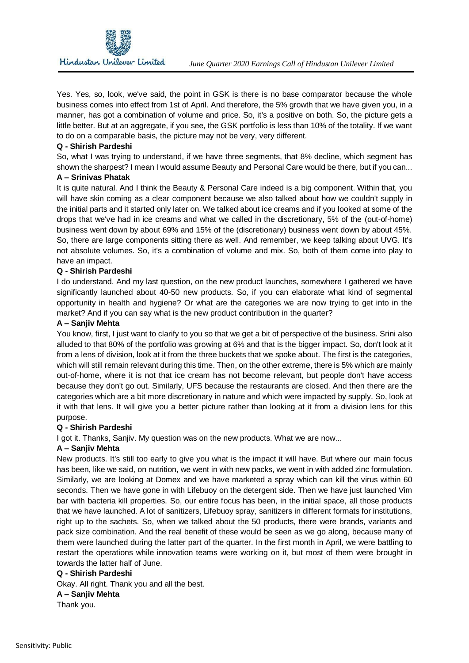

 Yes. Yes, so, look, we've said, the point in GSK is there is no base comparator because the whole business comes into effect from 1st of April. And therefore, the 5% growth that we have given you, in a manner, has got a combination of volume and price. So, it's a positive on both. So, the picture gets a little better. But at an aggregate, if you see, the GSK portfolio is less than 10% of the totality. If we want to do on a comparable basis, the picture may not be very, very different.

#### **Q - Shirish Pardeshi**

 So, what I was trying to understand, if we have three segments, that 8% decline, which segment has shown the sharpest? I mean I would assume Beauty and Personal Care would be there, but if you can...

#### **A – Srinivas Phatak**

 It is quite natural. And I think the Beauty & Personal Care indeed is a big component. Within that, you will have skin coming as a clear component because we also talked about how we couldn't supply in the initial parts and it started only later on. We talked about ice creams and if you looked at some of the drops that we've had in ice creams and what we called in the discretionary, 5% of the (out-of-home) business went down by about 69% and 15% of the (discretionary) business went down by about 45%. So, there are large components sitting there as well. And remember, we keep talking about UVG. It's not absolute volumes. So, it's a combination of volume and mix. So, both of them come into play to have an impact.

#### **Q - Shirish Pardeshi**

 I do understand. And my last question, on the new product launches, somewhere I gathered we have significantly launched about 40-50 new products. So, if you can elaborate what kind of segmental opportunity in health and hygiene? Or what are the categories we are now trying to get into in the market? And if you can say what is the new product contribution in the quarter?

#### **A – Sanjiv Mehta**

 You know, first, I just want to clarify to you so that we get a bit of perspective of the business. Srini also alluded to that 80% of the portfolio was growing at 6% and that is the bigger impact. So, don't look at it from a lens of division, look at it from the three buckets that we spoke about. The first is the categories, which will still remain relevant during this time. Then, on the other extreme, there is 5% which are mainly out-of-home, where it is not that ice cream has not become relevant, but people don't have access because they don't go out. Similarly, UFS because the restaurants are closed. And then there are the categories which are a bit more discretionary in nature and which were impacted by supply. So, look at it with that lens. It will give you a better picture rather than looking at it from a division lens for this purpose.

#### **Q - Shirish Pardeshi**

I got it. Thanks, Sanjiv. My question was on the new products. What we are now...

#### **A – Sanjiv Mehta**

 New products. It's still too early to give you what is the impact it will have. But where our main focus has been, like we said, on nutrition, we went in with new packs, we went in with added zinc formulation. Similarly, we are looking at Domex and we have marketed a spray which can kill the virus within 60 seconds. Then we have gone in with Lifebuoy on the detergent side. Then we have just launched Vim bar with bacteria kill properties. So, our entire focus has been, in the initial space, all those products that we have launched. A lot of sanitizers, Lifebuoy spray, sanitizers in different formats for institutions, right up to the sachets. So, when we talked about the 50 products, there were brands, variants and pack size combination. And the real benefit of these would be seen as we go along, because many of them were launched during the latter part of the quarter. In the first month in April, we were battling to restart the operations while innovation teams were working on it, but most of them were brought in towards the latter half of June.

#### **Q - Shirish Pardeshi**

Okay. All right. Thank you and all the best.

#### **A – Sanjiv Mehta**

Thank you.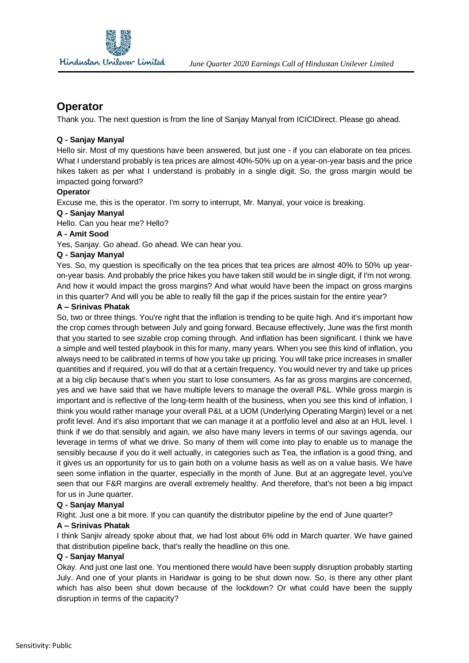

## **Operator**

Thank you. The next question is from the line of Sanjay Manyal from ICICIDirect. Please go ahead.

#### **Q - Sanjay Manyal**

 Hello sir. Most of my questions have been answered, but just one - if you can elaborate on tea prices. What I understand probably is tea prices are almost 40%-50% up on a year-on-year basis and the price hikes taken as per what I understand is probably in a single digit. So, the gross margin would be impacted going forward?

#### **Operator**

Excuse me, this is the operator. I'm sorry to interrupt, Mr. Manyal, your voice is breaking.

### **Q - Sanjay Manyal**

Hello. Can you hear me? Hello?

#### **A - Amit Sood**

Yes, Sanjay. Go ahead. Go ahead. We can hear you.

#### **Q - Sanjay Manyal**

 Yes. So, my question is specifically on the tea prices that tea prices are almost 40% to 50% up year- on-year basis. And probably the price hikes you have taken still would be in single digit, if I'm not wrong. And how it would impact the gross margins? And what would have been the impact on gross margins in this quarter? And will you be able to really fill the gap if the prices sustain for the entire year?

#### **A – Srinivas Phatak**

 So, two or three things. You're right that the inflation is trending to be quite high. And it's important how the crop comes through between July and going forward. Because effectively, June was the first month that you started to see sizable crop coming through. And inflation has been significant. I think we have a simple and well tested playbook in this for many, many years. When you see this kind of inflation, you always need to be calibrated in terms of how you take up pricing. You will take price increases in smaller quantities and if required, you will do that at a certain frequency. You would never try and take up prices at a big clip because that's when you start to lose consumers. As far as gross margins are concerned, yes and we have said that we have multiple levers to manage the overall P&L. While gross margin is important and is reflective of the long-term health of the business, when you see this kind of inflation, I think you would rather manage your overall P&L at a UOM (Underlying Operating Margin) level or a net profit level. And it's also important that we can manage it at a portfolio level and also at an HUL level. I think if we do that sensibly and again, we also have many levers in terms of our savings agenda, our leverage in terms of what we drive. So many of them will come into play to enable us to manage the sensibly because if you do it well actually, in categories such as Tea, the inflation is a good thing, and it gives us an opportunity for us to gain both on a volume basis as well as on a value basis. We have seen some inflation in the quarter, especially in the month of June. But at an aggregate level, you've seen that our F&R margins are overall extremely healthy. And therefore, that's not been a big impact for us in June quarter.

#### **Q - Sanjay Manyal**

Right. Just one a bit more. If you can quantify the distributor pipeline by the end of June quarter?

#### **A – Srinivas Phatak**

 I think Sanjiv already spoke about that, we had lost about 6% odd in March quarter. We have gained that distribution pipeline back, that's really the headline on this one.

#### **Q - Sanjay Manyal**

 Okay. And just one last one. You mentioned there would have been supply disruption probably starting July. And one of your plants in Haridwar is going to be shut down now. So, is there any other plant which has also been shut down because of the lockdown? Or what could have been the supply disruption in terms of the capacity?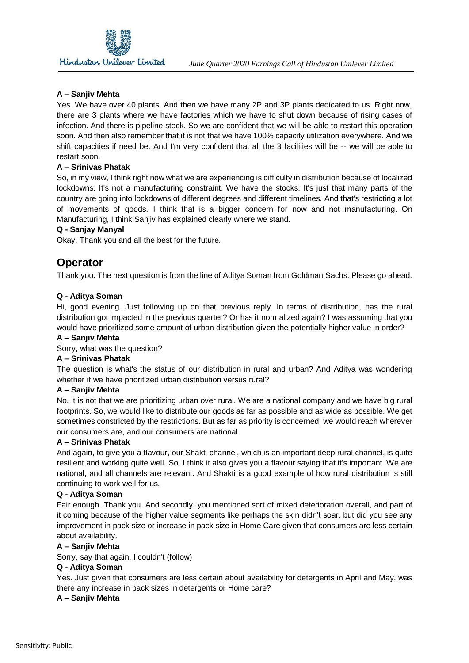

#### **A – Sanjiv Mehta**

 Yes. We have over 40 plants. And then we have many 2P and 3P plants dedicated to us. Right now, there are 3 plants where we have factories which we have to shut down because of rising cases of infection. And there is pipeline stock. So we are confident that we will be able to restart this operation soon. And then also remember that it is not that we have 100% capacity utilization everywhere. And we shift capacities if need be. And I'm very confident that all the 3 facilities will be -- we will be able to restart soon.

#### **A – Srinivas Phatak**

 So, in my view, I think right now what we are experiencing is difficulty in distribution because of localized lockdowns. It's not a manufacturing constraint. We have the stocks. It's just that many parts of the country are going into lockdowns of different degrees and different timelines. And that's restricting a lot of movements of goods. I think that is a bigger concern for now and not manufacturing. On Manufacturing, I think Sanjiv has explained clearly where we stand.

#### **Q - Sanjay Manyal**

Okay. Thank you and all the best for the future.

## **Operator**

Thank you. The next question is from the line of Aditya Soman from Goldman Sachs. Please go ahead.

#### **Q - Aditya Soman**

 Hi, good evening. Just following up on that previous reply. In terms of distribution, has the rural distribution got impacted in the previous quarter? Or has it normalized again? I was assuming that you would have prioritized some amount of urban distribution given the potentially higher value in order?

#### **A – Sanjiv Mehta**

Sorry, what was the question?

#### **A – Srinivas Phatak**

 The question is what's the status of our distribution in rural and urban? And Aditya was wondering whether if we have prioritized urban distribution versus rural?

#### **A – Sanjiv Mehta**

 No, it is not that we are prioritizing urban over rural. We are a national company and we have big rural footprints. So, we would like to distribute our goods as far as possible and as wide as possible. We get sometimes constricted by the restrictions. But as far as priority is concerned, we would reach wherever our consumers are, and our consumers are national.

#### **A – Srinivas Phatak**

 And again, to give you a flavour, our Shakti channel, which is an important deep rural channel, is quite resilient and working quite well. So, I think it also gives you a flavour saying that it's important. We are national, and all channels are relevant. And Shakti is a good example of how rural distribution is still continuing to work well for us.

#### **Q - Aditya Soman**

 Fair enough. Thank you. And secondly, you mentioned sort of mixed deterioration overall, and part of it coming because of the higher value segments like perhaps the skin didn't soar, but did you see any improvement in pack size or increase in pack size in Home Care given that consumers are less certain about availability.

#### **A – Sanjiv Mehta**

Sorry, say that again, I couldn't (follow)

#### **Q - Aditya Soman**

 Yes. Just given that consumers are less certain about availability for detergents in April and May, was there any increase in pack sizes in detergents or Home care?

#### **A – Sanjiv Mehta**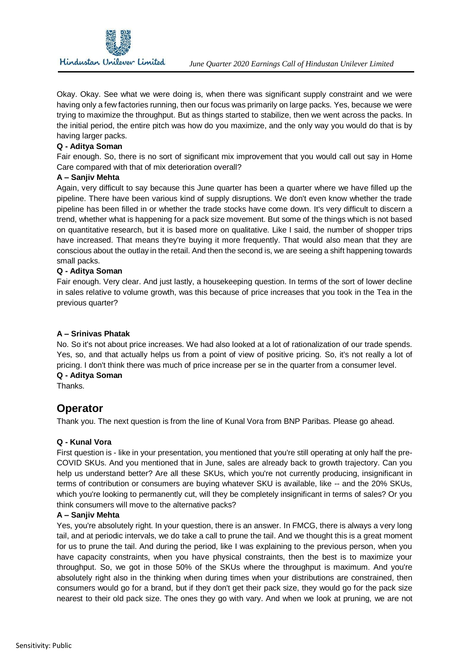

 Okay. Okay. See what we were doing is, when there was significant supply constraint and we were having only a few factories running, then our focus was primarily on large packs. Yes, because we were trying to maximize the throughput. But as things started to stabilize, then we went across the packs. In the initial period, the entire pitch was how do you maximize, and the only way you would do that is by having larger packs.

#### **Q - Aditya Soman**

 Fair enough. So, there is no sort of significant mix improvement that you would call out say in Home Care compared with that of mix deterioration overall?

#### **A – Sanjiv Mehta**

 Again, very difficult to say because this June quarter has been a quarter where we have filled up the pipeline. There have been various kind of supply disruptions. We don't even know whether the trade pipeline has been filled in or whether the trade stocks have come down. It's very difficult to discern a trend, whether what is happening for a pack size movement. But some of the things which is not based on quantitative research, but it is based more on qualitative. Like I said, the number of shopper trips have increased. That means they're buying it more frequently. That would also mean that they are conscious about the outlay in the retail. And then the second is, we are seeing a shift happening towards small packs.

#### **Q - Aditya Soman**

 Fair enough. Very clear. And just lastly, a housekeeping question. In terms of the sort of lower decline in sales relative to volume growth, was this because of price increases that you took in the Tea in the previous quarter?

#### **A – Srinivas Phatak**

 No. So it's not about price increases. We had also looked at a lot of rationalization of our trade spends. Yes, so, and that actually helps us from a point of view of positive pricing. So, it's not really a lot of pricing. I don't think there was much of price increase per se in the quarter from a consumer level. **Q - Aditya Soman** 

Thanks.

## **Operator**

Thank you. The next question is from the line of Kunal Vora from BNP Paribas. Please go ahead.

#### **Q - Kunal Vora**

 First question is - like in your presentation, you mentioned that you're still operating at only half the pre- COVID SKUs. And you mentioned that in June, sales are already back to growth trajectory. Can you help us understand better? Are all these SKUs, which you're not currently producing, insignificant in terms of contribution or consumers are buying whatever SKU is available, like -- and the 20% SKUs, which you're looking to permanently cut, will they be completely insignificant in terms of sales? Or you think consumers will move to the alternative packs?

#### **A – Sanjiv Mehta**

 Yes, you're absolutely right. In your question, there is an answer. In FMCG, there is always a very long tail, and at periodic intervals, we do take a call to prune the tail. And we thought this is a great moment for us to prune the tail. And during the period, like I was explaining to the previous person, when you have capacity constraints, when you have physical constraints, then the best is to maximize your throughput. So, we got in those 50% of the SKUs where the throughput is maximum. And you're absolutely right also in the thinking when during times when your distributions are constrained, then consumers would go for a brand, but if they don't get their pack size, they would go for the pack size nearest to their old pack size. The ones they go with vary. And when we look at pruning, we are not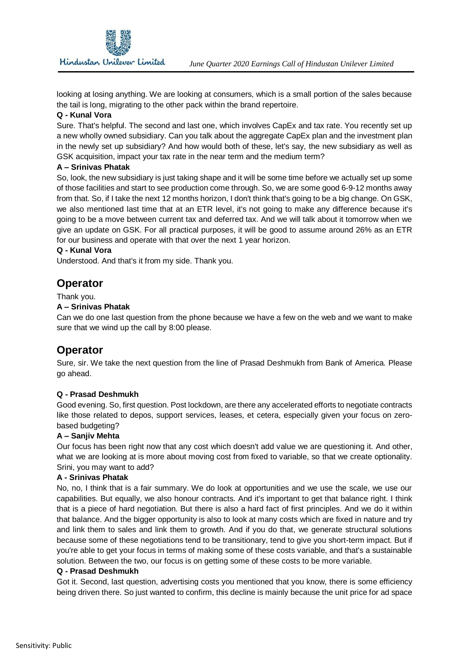

 looking at losing anything. We are looking at consumers, which is a small portion of the sales because the tail is long, migrating to the other pack within the brand repertoire.

#### **Q - Kunal Vora**

 Sure. That's helpful. The second and last one, which involves CapEx and tax rate. You recently set up a new wholly owned subsidiary. Can you talk about the aggregate CapEx plan and the investment plan in the newly set up subsidiary? And how would both of these, let's say, the new subsidiary as well as GSK acquisition, impact your tax rate in the near term and the medium term?

#### **A – Srinivas Phatak**

 So, look, the new subsidiary is just taking shape and it will be some time before we actually set up some of those facilities and start to see production come through. So, we are some good 6-9-12 months away from that. So, if I take the next 12 months horizon, I don't think that's going to be a big change. On GSK, we also mentioned last time that at an ETR level, it's not going to make any difference because it's going to be a move between current tax and deferred tax. And we will talk about it tomorrow when we give an update on GSK. For all practical purposes, it will be good to assume around 26% as an ETR for our business and operate with that over the next 1 year horizon.

#### **Q - Kunal Vora**

Understood. And that's it from my side. Thank you.

## **Operator**

Thank you.

#### **A – Srinivas Phatak**

 Can we do one last question from the phone because we have a few on the web and we want to make sure that we wind up the call by 8:00 please.

## **Operator**

 Sure, sir. We take the next question from the line of Prasad Deshmukh from Bank of America. Please go ahead.

#### **Q - Prasad Deshmukh**

 Good evening. So, first question. Post lockdown, are there any accelerated efforts to negotiate contracts like those related to depos, support services, leases, et cetera, especially given your focus on zerobased budgeting?

#### **A – Sanjiv Mehta**

 Our focus has been right now that any cost which doesn't add value we are questioning it. And other, what we are looking at is more about moving cost from fixed to variable, so that we create optionality. Srini, you may want to add?

#### **A - Srinivas Phatak**

 No, no, I think that is a fair summary. We do look at opportunities and we use the scale, we use our capabilities. But equally, we also honour contracts. And it's important to get that balance right. I think that is a piece of hard negotiation. But there is also a hard fact of first principles. And we do it within that balance. And the bigger opportunity is also to look at many costs which are fixed in nature and try and link them to sales and link them to growth. And if you do that, we generate structural solutions because some of these negotiations tend to be transitionary, tend to give you short-term impact. But if you're able to get your focus in terms of making some of these costs variable, and that's a sustainable solution. Between the two, our focus is on getting some of these costs to be more variable.

#### **Q - Prasad Deshmukh**

 Got it. Second, last question, advertising costs you mentioned that you know, there is some efficiency being driven there. So just wanted to confirm, this decline is mainly because the unit price for ad space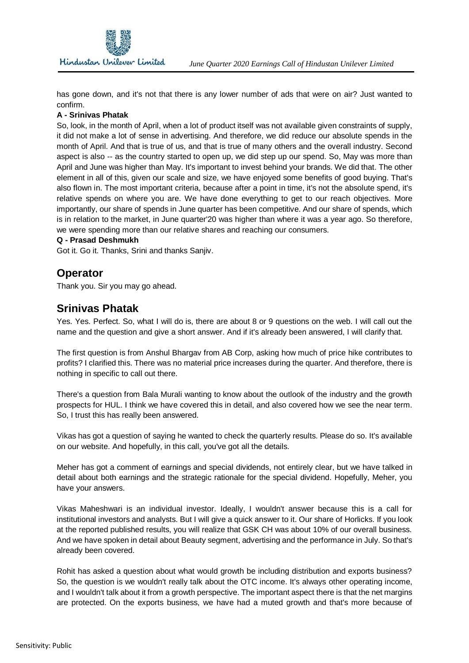

 has gone down, and it's not that there is any lower number of ads that were on air? Just wanted to confirm.

#### **A - Srinivas Phatak**

 So, look, in the month of April, when a lot of product itself was not available given constraints of supply, it did not make a lot of sense in advertising. And therefore, we did reduce our absolute spends in the month of April. And that is true of us, and that is true of many others and the overall industry. Second aspect is also -- as the country started to open up, we did step up our spend. So, May was more than April and June was higher than May. It's important to invest behind your brands. We did that. The other element in all of this, given our scale and size, we have enjoyed some benefits of good buying. That's also flown in. The most important criteria, because after a point in time, it's not the absolute spend, it's relative spends on where you are. We have done everything to get to our reach objectives. More importantly, our share of spends in June quarter has been competitive. And our share of spends, which is in relation to the market, in June quarter'20 was higher than where it was a year ago. So therefore, we were spending more than our relative shares and reaching our consumers.

#### **Q - Prasad Deshmukh**

Got it. Go it. Thanks, Srini and thanks Sanjiv.

## **Operator**

Thank you. Sir you may go ahead.

## **Srinivas Phatak**

 Yes. Yes. Perfect. So, what I will do is, there are about 8 or 9 questions on the web. I will call out the name and the question and give a short answer. And if it's already been answered, I will clarify that.

 The first question is from Anshul Bhargav from AB Corp, asking how much of price hike contributes to profits? I clarified this. There was no material price increases during the quarter. And therefore, there is nothing in specific to call out there.

 There's a question from Bala Murali wanting to know about the outlook of the industry and the growth prospects for HUL. I think we have covered this in detail, and also covered how we see the near term. So, I trust this has really been answered.

 Vikas has got a question of saying he wanted to check the quarterly results. Please do so. It's available on our website. And hopefully, in this call, you've got all the details.

 Meher has got a comment of earnings and special dividends, not entirely clear, but we have talked in detail about both earnings and the strategic rationale for the special dividend. Hopefully, Meher, you have your answers.

 Vikas Maheshwari is an individual investor. Ideally, I wouldn't answer because this is a call for institutional investors and analysts. But I will give a quick answer to it. Our share of Horlicks. If you look at the reported published results, you will realize that GSK CH was about 10% of our overall business. And we have spoken in detail about Beauty segment, advertising and the performance in July. So that's already been covered.

 Rohit has asked a question about what would growth be including distribution and exports business? So, the question is we wouldn't really talk about the OTC income. It's always other operating income, and I wouldn't talk about it from a growth perspective. The important aspect there is that the net margins are protected. On the exports business, we have had a muted growth and that's more because of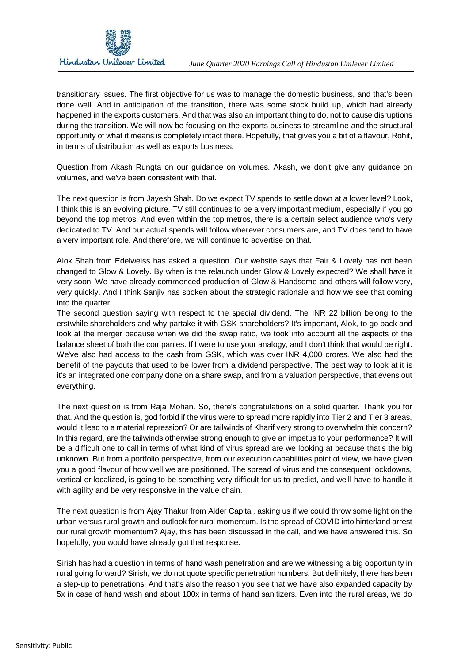

 transitionary issues. The first objective for us was to manage the domestic business, and that's been done well. And in anticipation of the transition, there was some stock build up, which had already happened in the exports customers. And that was also an important thing to do, not to cause disruptions during the transition. We will now be focusing on the exports business to streamline and the structural opportunity of what it means is completely intact there. Hopefully, that gives you a bit of a flavour, Rohit, in terms of distribution as well as exports business.

 Question from Akash Rungta on our guidance on volumes. Akash, we don't give any guidance on volumes, and we've been consistent with that.

 The next question is from Jayesh Shah. Do we expect TV spends to settle down at a lower level? Look, I think this is an evolving picture. TV still continues to be a very important medium, especially if you go beyond the top metros. And even within the top metros, there is a certain select audience who's very dedicated to TV. And our actual spends will follow wherever consumers are, and TV does tend to have a very important role. And therefore, we will continue to advertise on that.

 Alok Shah from Edelweiss has asked a question. Our website says that Fair & Lovely has not been changed to Glow & Lovely. By when is the relaunch under Glow & Lovely expected? We shall have it very soon. We have already commenced production of Glow & Handsome and others will follow very, very quickly. And I think Sanjiv has spoken about the strategic rationale and how we see that coming into the quarter.

 The second question saying with respect to the special dividend. The INR 22 billion belong to the erstwhile shareholders and why partake it with GSK shareholders? It's important, Alok, to go back and look at the merger because when we did the swap ratio, we took into account all the aspects of the balance sheet of both the companies. If I were to use your analogy, and I don't think that would be right. We've also had access to the cash from GSK, which was over INR 4,000 crores. We also had the benefit of the payouts that used to be lower from a dividend perspective. The best way to look at it is it's an integrated one company done on a share swap, and from a valuation perspective, that evens out everything.

 The next question is from Raja Mohan. So, there's congratulations on a solid quarter. Thank you for that. And the question is, god forbid if the virus were to spread more rapidly into Tier 2 and Tier 3 areas, would it lead to a material repression? Or are tailwinds of Kharif very strong to overwhelm this concern? In this regard, are the tailwinds otherwise strong enough to give an impetus to your performance? It will be a difficult one to call in terms of what kind of virus spread are we looking at because that's the big unknown. But from a portfolio perspective, from our execution capabilities point of view, we have given you a good flavour of how well we are positioned. The spread of virus and the consequent lockdowns, vertical or localized, is going to be something very difficult for us to predict, and we'll have to handle it with agility and be very responsive in the value chain.

 The next question is from Ajay Thakur from Alder Capital, asking us if we could throw some light on the urban versus rural growth and outlook for rural momentum. Is the spread of COVID into hinterland arrest our rural growth momentum? Ajay, this has been discussed in the call, and we have answered this. So hopefully, you would have already got that response.

 Sirish has had a question in terms of hand wash penetration and are we witnessing a big opportunity in rural going forward? Sirish, we do not quote specific penetration numbers. But definitely, there has been a step-up to penetrations. And that's also the reason you see that we have also expanded capacity by 5x in case of hand wash and about 100x in terms of hand sanitizers. Even into the rural areas, we do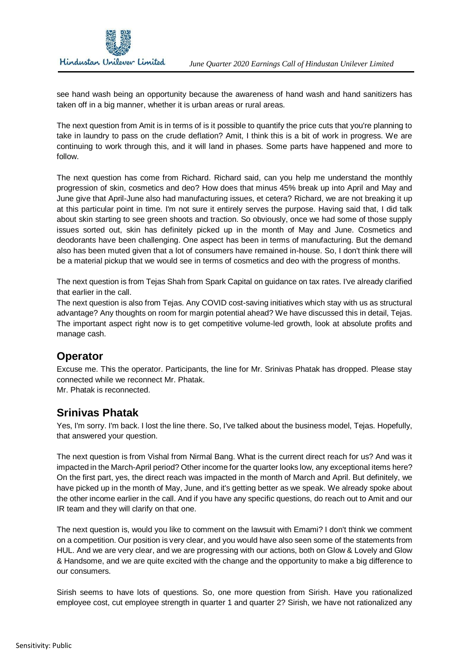

 see hand wash being an opportunity because the awareness of hand wash and hand sanitizers has taken off in a big manner, whether it is urban areas or rural areas.

 The next question from Amit is in terms of is it possible to quantify the price cuts that you're planning to take in laundry to pass on the crude deflation? Amit, I think this is a bit of work in progress. We are continuing to work through this, and it will land in phases. Some parts have happened and more to follow.

 The next question has come from Richard. Richard said, can you help me understand the monthly progression of skin, cosmetics and deo? How does that minus 45% break up into April and May and June give that April-June also had manufacturing issues, et cetera? Richard, we are not breaking it up at this particular point in time. I'm not sure it entirely serves the purpose. Having said that, I did talk about skin starting to see green shoots and traction. So obviously, once we had some of those supply issues sorted out, skin has definitely picked up in the month of May and June. Cosmetics and deodorants have been challenging. One aspect has been in terms of manufacturing. But the demand also has been muted given that a lot of consumers have remained in-house. So, I don't think there will be a material pickup that we would see in terms of cosmetics and deo with the progress of months.

 The next question is from Tejas Shah from Spark Capital on guidance on tax rates. I've already clarified that earlier in the call.

 The next question is also from Tejas. Any COVID cost-saving initiatives which stay with us as structural advantage? Any thoughts on room for margin potential ahead? We have discussed this in detail, Tejas. The important aspect right now is to get competitive volume-led growth, look at absolute profits and manage cash.

## **Operator**

 Excuse me. This the operator. Participants, the line for Mr. Srinivas Phatak has dropped. Please stay connected while we reconnect Mr. Phatak.

Mr. Phatak is reconnected.

## **Srinivas Phatak**

 Yes, I'm sorry. I'm back. I lost the line there. So, I've talked about the business model, Tejas. Hopefully, that answered your question.

 The next question is from Vishal from Nirmal Bang. What is the current direct reach for us? And was it impacted in the March-April period? Other income for the quarter looks low, any exceptional items here? On the first part, yes, the direct reach was impacted in the month of March and April. But definitely, we have picked up in the month of May, June, and it's getting better as we speak. We already spoke about the other income earlier in the call. And if you have any specific questions, do reach out to Amit and our IR team and they will clarify on that one.

 The next question is, would you like to comment on the lawsuit with Emami? I don't think we comment on a competition. Our position is very clear, and you would have also seen some of the statements from HUL. And we are very clear, and we are progressing with our actions, both on Glow & Lovely and Glow & Handsome, and we are quite excited with the change and the opportunity to make a big difference to our consumers.

 Sirish seems to have lots of questions. So, one more question from Sirish. Have you rationalized employee cost, cut employee strength in quarter 1 and quarter 2? Sirish, we have not rationalized any